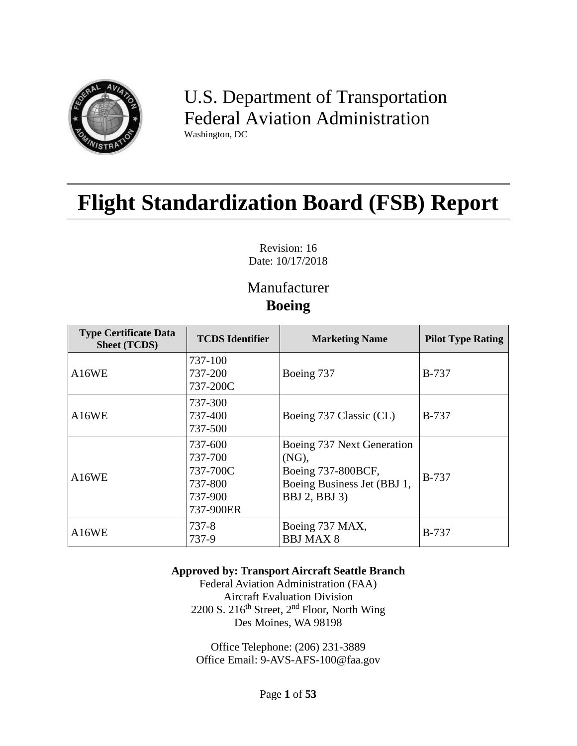

U.S. Department of Transportation Federal Aviation Administration Washington, DC

# **Flight Standardization Board (FSB) Report**

Revision: 16 Date: 10/17/2018

# Manufacturer **Boeing**

| <b>Type Certificate Data</b><br><b>Sheet (TCDS)</b> | <b>TCDS</b> Identifier                                            | <b>Marketing Name</b>                                                                                                      | <b>Pilot Type Rating</b> |  |
|-----------------------------------------------------|-------------------------------------------------------------------|----------------------------------------------------------------------------------------------------------------------------|--------------------------|--|
| A16WE                                               | 737-100<br>737-200<br>737-200C                                    | Boeing 737                                                                                                                 | <b>B-737</b>             |  |
| A16WE                                               | 737-300<br>737-400<br>737-500                                     | Boeing 737 Classic (CL)                                                                                                    | <b>B-737</b>             |  |
| A16WE                                               | 737-600<br>737-700<br>737-700C<br>737-800<br>737-900<br>737-900ER | Boeing 737 Next Generation<br>$(NG)$ ,<br>Boeing 737-800BCF,<br>Boeing Business Jet (BBJ 1,<br><b>BBJ</b> 2, <b>BBJ</b> 3) | <b>B-737</b>             |  |
| A16WE                                               | 737-8<br>737-9                                                    | Boeing 737 MAX,<br><b>BBJ MAX 8</b>                                                                                        | <b>B-737</b>             |  |

#### **Approved by: Transport Aircraft Seattle Branch**

Federal Aviation Administration (FAA) Aircraft Evaluation Division 2200 S. 216<sup>th</sup> Street,  $2<sup>nd</sup>$  Floor, North Wing Des Moines, WA 98198

Office Telephone: (206) 231-3889 Office Email: 9-AVS-AFS-100@faa.gov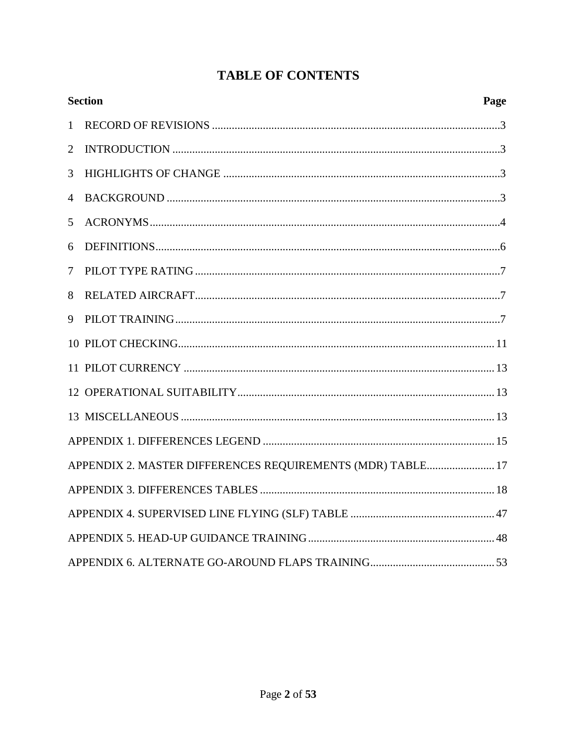|                | <b>Section</b>                                             | Page |
|----------------|------------------------------------------------------------|------|
| $\mathbf{1}$   |                                                            |      |
| $\overline{2}$ |                                                            |      |
| 3              |                                                            |      |
| 4              |                                                            |      |
| 5              |                                                            |      |
| 6              |                                                            |      |
| 7              |                                                            |      |
| 8              |                                                            |      |
| 9              |                                                            |      |
|                |                                                            |      |
|                |                                                            |      |
|                |                                                            |      |
|                |                                                            |      |
|                |                                                            |      |
|                | APPENDIX 2. MASTER DIFFERENCES REQUIREMENTS (MDR) TABLE 17 |      |
|                |                                                            |      |
|                |                                                            |      |
|                |                                                            |      |
|                |                                                            |      |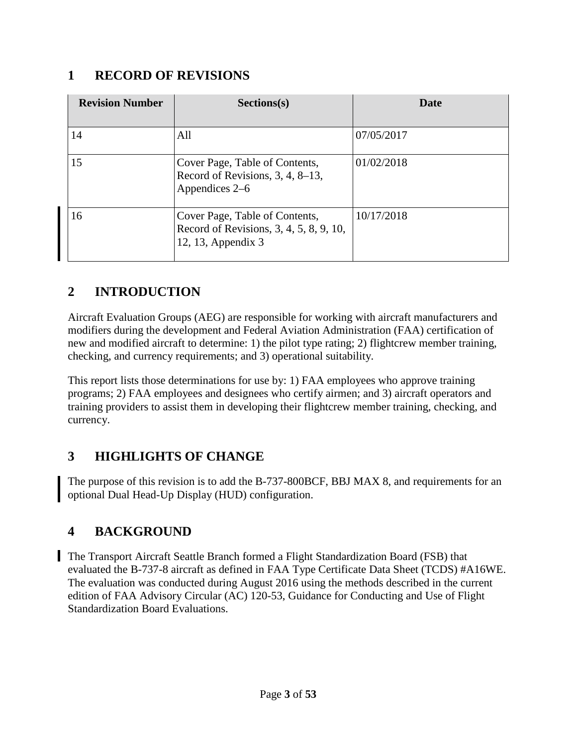#### <span id="page-2-0"></span>**1 RECORD OF REVISIONS**

| <b>Revision Number</b> | Sections(s)                                                                                     | Date       |
|------------------------|-------------------------------------------------------------------------------------------------|------------|
| 14                     | All                                                                                             | 07/05/2017 |
| 15                     | Cover Page, Table of Contents,<br>Record of Revisions, 3, 4, 8–13,<br>Appendices 2–6            | 01/02/2018 |
| 16                     | Cover Page, Table of Contents,<br>Record of Revisions, 3, 4, 5, 8, 9, 10,<br>12, 13, Appendix 3 | 10/17/2018 |

# <span id="page-2-1"></span>**2 INTRODUCTION**

Aircraft Evaluation Groups (AEG) are responsible for working with aircraft manufacturers and modifiers during the development and Federal Aviation Administration (FAA) certification of new and modified aircraft to determine: 1) the pilot type rating; 2) flightcrew member training, checking, and currency requirements; and 3) operational suitability.

This report lists those determinations for use by: 1) FAA employees who approve training programs; 2) FAA employees and designees who certify airmen; and 3) aircraft operators and training providers to assist them in developing their flightcrew member training, checking, and currency.

# <span id="page-2-2"></span>**3 HIGHLIGHTS OF CHANGE**

The purpose of this revision is to add the B-737-800BCF, BBJ MAX 8, and requirements for an optional Dual Head-Up Display (HUD) configuration.

# <span id="page-2-3"></span>**4 BACKGROUND**

The Transport Aircraft Seattle Branch formed a Flight Standardization Board (FSB) that evaluated the B-737-8 aircraft as defined in FAA Type Certificate Data Sheet (TCDS) #A16WE. The evaluation was conducted during August 2016 using the methods described in the current edition of FAA Advisory Circular (AC) 120-53, Guidance for Conducting and Use of Flight Standardization Board Evaluations.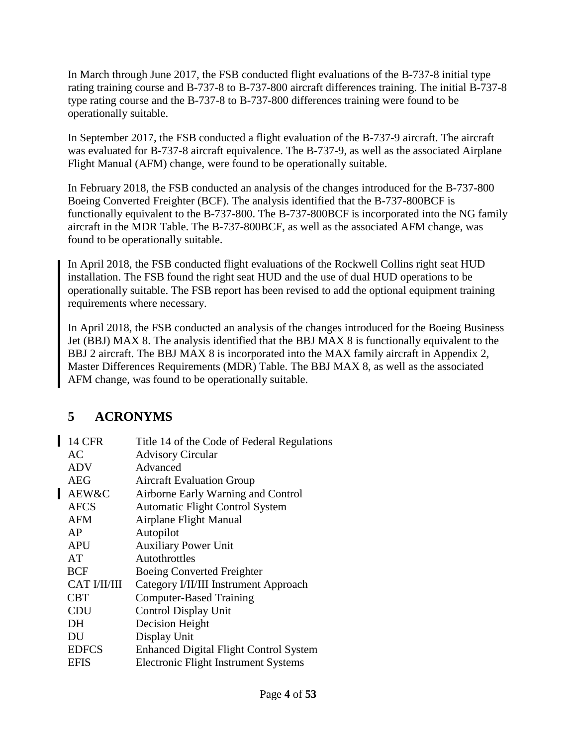In March through June 2017, the FSB conducted flight evaluations of the B-737-8 initial type rating training course and B-737-8 to B-737-800 aircraft differences training. The initial B-737-8 type rating course and the B-737-8 to B-737-800 differences training were found to be operationally suitable.

In September 2017, the FSB conducted a flight evaluation of the B-737-9 aircraft. The aircraft was evaluated for B-737-8 aircraft equivalence. The B-737-9, as well as the associated Airplane Flight Manual (AFM) change, were found to be operationally suitable.

In February 2018, the FSB conducted an analysis of the changes introduced for the B-737-800 Boeing Converted Freighter (BCF). The analysis identified that the B-737-800BCF is functionally equivalent to the B-737-800. The B-737-800BCF is incorporated into the NG family aircraft in the MDR Table. The B-737-800BCF, as well as the associated AFM change, was found to be operationally suitable.

In April 2018, the FSB conducted flight evaluations of the Rockwell Collins right seat HUD installation. The FSB found the right seat HUD and the use of dual HUD operations to be operationally suitable. The FSB report has been revised to add the optional equipment training requirements where necessary.

In April 2018, the FSB conducted an analysis of the changes introduced for the Boeing Business Jet (BBJ) MAX 8. The analysis identified that the BBJ MAX 8 is functionally equivalent to the BBJ 2 aircraft. The BBJ MAX 8 is incorporated into the MAX family aircraft in Appendix 2, Master Differences Requirements (MDR) Table. The BBJ MAX 8, as well as the associated AFM change, was found to be operationally suitable.

# <span id="page-3-0"></span>**5 ACRONYMS**

| <b>14 CFR</b>       | Title 14 of the Code of Federal Regulations   |
|---------------------|-----------------------------------------------|
| AC                  | <b>Advisory Circular</b>                      |
| <b>ADV</b>          | Advanced                                      |
| <b>AEG</b>          | <b>Aircraft Evaluation Group</b>              |
| AEW&C               | Airborne Early Warning and Control            |
| <b>AFCS</b>         | <b>Automatic Flight Control System</b>        |
| <b>AFM</b>          | <b>Airplane Flight Manual</b>                 |
| AP                  | Autopilot                                     |
| APU                 | <b>Auxiliary Power Unit</b>                   |
| AT                  | Autothrottles                                 |
| <b>BCF</b>          | Boeing Converted Freighter                    |
| <b>CAT I/II/III</b> | Category I/II/III Instrument Approach         |
| CBT                 | <b>Computer-Based Training</b>                |
| <b>CDU</b>          | Control Display Unit                          |
| DH                  | Decision Height                               |
| DU                  | Display Unit                                  |
| <b>EDFCS</b>        | <b>Enhanced Digital Flight Control System</b> |
| <b>EFIS</b>         | Electronic Flight Instrument Systems          |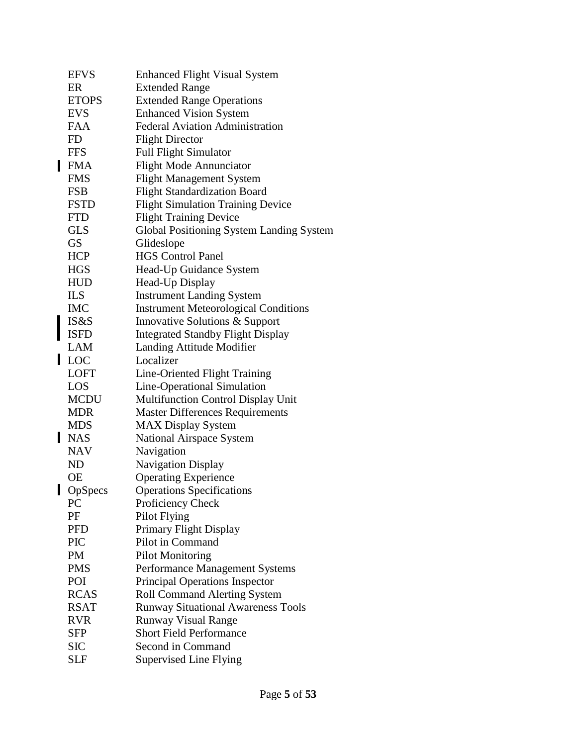|   | <b>EFVS</b>  | <b>Enhanced Flight Visual System</b>        |
|---|--------------|---------------------------------------------|
|   | ER           | <b>Extended Range</b>                       |
|   | <b>ETOPS</b> | <b>Extended Range Operations</b>            |
|   | <b>EVS</b>   | <b>Enhanced Vision System</b>               |
|   | <b>FAA</b>   | <b>Federal Aviation Administration</b>      |
|   | FD           | <b>Flight Director</b>                      |
|   | <b>FFS</b>   | <b>Full Flight Simulator</b>                |
|   | <b>FMA</b>   | <b>Flight Mode Annunciator</b>              |
|   | <b>FMS</b>   | <b>Flight Management System</b>             |
|   | <b>FSB</b>   | <b>Flight Standardization Board</b>         |
|   | <b>FSTD</b>  | <b>Flight Simulation Training Device</b>    |
|   | <b>FTD</b>   | <b>Flight Training Device</b>               |
|   | <b>GLS</b>   | Global Positioning System Landing System    |
|   | <b>GS</b>    | Glideslope                                  |
|   | <b>HCP</b>   | <b>HGS Control Panel</b>                    |
|   | <b>HGS</b>   | Head-Up Guidance System                     |
|   | <b>HUD</b>   | Head-Up Display                             |
|   | <b>ILS</b>   | <b>Instrument Landing System</b>            |
|   | <b>IMC</b>   | <b>Instrument Meteorological Conditions</b> |
|   | IS&S         | Innovative Solutions & Support              |
|   | <b>ISFD</b>  | <b>Integrated Standby Flight Display</b>    |
|   | LAM          | Landing Attitude Modifier                   |
| П | <b>LOC</b>   | Localizer                                   |
|   | <b>LOFT</b>  | Line-Oriented Flight Training               |
|   | LOS          | Line-Operational Simulation                 |
|   | MCDU         | <b>Multifunction Control Display Unit</b>   |
|   | <b>MDR</b>   | <b>Master Differences Requirements</b>      |
|   | <b>MDS</b>   | <b>MAX Display System</b>                   |
|   | <b>NAS</b>   | <b>National Airspace System</b>             |
|   | <b>NAV</b>   | Navigation                                  |
|   | <b>ND</b>    | <b>Navigation Display</b>                   |
|   | <b>OE</b>    | <b>Operating Experience</b>                 |
|   | OpSpecs      | <b>Operations Specifications</b>            |
|   | <b>PC</b>    | Proficiency Check                           |
|   | PF           | Pilot Flying                                |
|   | <b>PFD</b>   | Primary Flight Display                      |
|   | <b>PIC</b>   | Pilot in Command                            |
|   | PM           | <b>Pilot Monitoring</b>                     |
|   | <b>PMS</b>   | <b>Performance Management Systems</b>       |
|   | POI          | Principal Operations Inspector              |
|   | <b>RCAS</b>  | <b>Roll Command Alerting System</b>         |
|   | <b>RSAT</b>  | <b>Runway Situational Awareness Tools</b>   |
|   | <b>RVR</b>   | <b>Runway Visual Range</b>                  |
|   | SFP          | <b>Short Field Performance</b>              |
|   | <b>SIC</b>   | Second in Command                           |
|   | SLF          | Supervised Line Flying                      |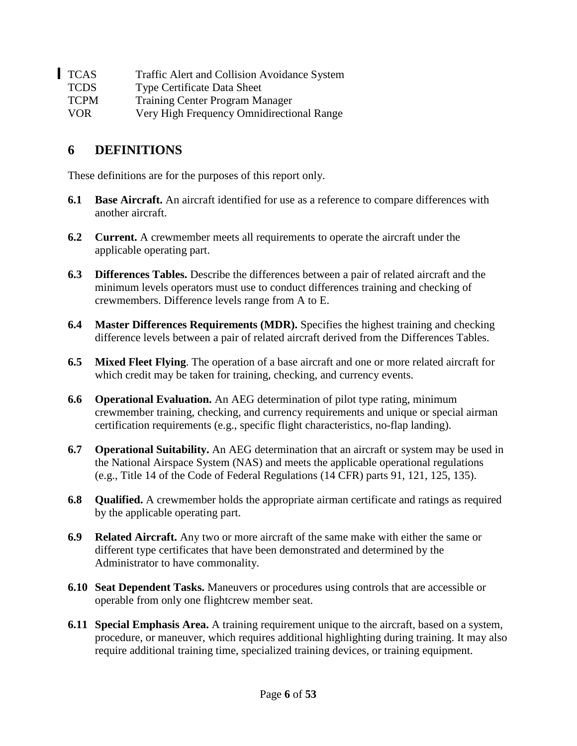| <b>TCAS</b> | Traffic Alert and Collision Avoidance System |
|-------------|----------------------------------------------|
| <b>TCDS</b> | <b>Type Certificate Data Sheet</b>           |
| <b>TCPM</b> | <b>Training Center Program Manager</b>       |
| VOR.        | Very High Frequency Omnidirectional Range    |

## <span id="page-5-0"></span>**6 DEFINITIONS**

These definitions are for the purposes of this report only.

- **6.1 Base Aircraft.** An aircraft identified for use as a reference to compare differences with another aircraft.
- **6.2 Current.** A crewmember meets all requirements to operate the aircraft under the applicable operating part.
- **6.3 Differences Tables.** Describe the differences between a pair of related aircraft and the minimum levels operators must use to conduct differences training and checking of crewmembers. Difference levels range from A to E.
- **6.4 Master Differences Requirements (MDR).** Specifies the highest training and checking difference levels between a pair of related aircraft derived from the Differences Tables.
- **6.5 Mixed Fleet Flying**. The operation of a base aircraft and one or more related aircraft for which credit may be taken for training, checking, and currency events.
- **6.6 Operational Evaluation.** An AEG determination of pilot type rating, minimum crewmember training, checking, and currency requirements and unique or special airman certification requirements (e.g., specific flight characteristics, no-flap landing).
- **6.7 Operational Suitability.** An AEG determination that an aircraft or system may be used in the National Airspace System (NAS) and meets the applicable operational regulations (e.g., Title 14 of the Code of Federal Regulations (14 CFR) parts 91, 121, 125, 135).
- **6.8 Qualified.** A crewmember holds the appropriate airman certificate and ratings as required by the applicable operating part.
- **6.9 Related Aircraft.** Any two or more aircraft of the same make with either the same or different type certificates that have been demonstrated and determined by the Administrator to have commonality.
- **6.10 Seat Dependent Tasks.** Maneuvers or procedures using controls that are accessible or operable from only one flightcrew member seat.
- **6.11 Special Emphasis Area.** A training requirement unique to the aircraft, based on a system, procedure, or maneuver, which requires additional highlighting during training. It may also require additional training time, specialized training devices, or training equipment.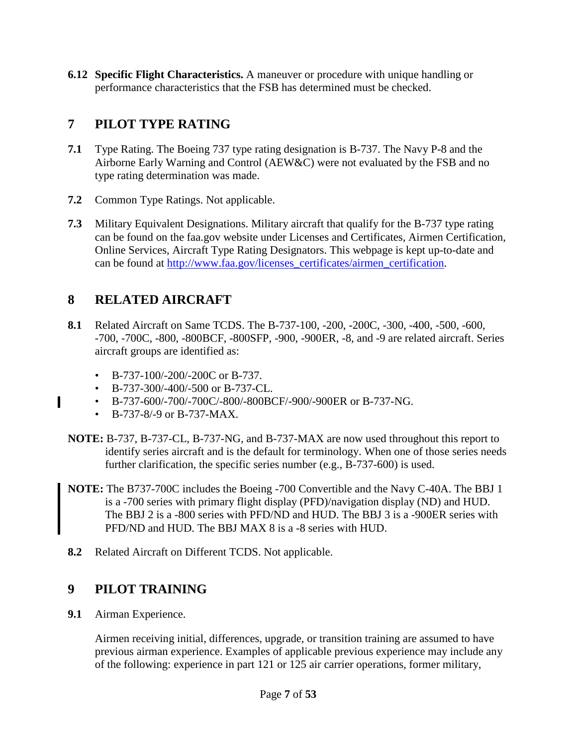**6.12 Specific Flight Characteristics.** A maneuver or procedure with unique handling or performance characteristics that the FSB has determined must be checked.

## <span id="page-6-0"></span>**7 PILOT TYPE RATING**

- **7.1** Type Rating. The Boeing 737 type rating designation is B-737. The Navy P-8 and the Airborne Early Warning and Control (AEW&C) were not evaluated by the FSB and no type rating determination was made.
- **7.2** Common Type Ratings. Not applicable.
- **7.3** Military Equivalent Designations. Military aircraft that qualify for the B-737 type rating can be found on the faa.gov website under Licenses and Certificates, Airmen Certification, Online Services, Aircraft Type Rating Designators. This webpage is kept up-to-date and can be found at [http://www.faa.gov/licenses\\_certificates/airmen\\_certification.](http://www.faa.gov/licenses_certificates/airmen_certification/)

#### <span id="page-6-1"></span>**8 RELATED AIRCRAFT**

- **8.1** Related Aircraft on Same TCDS. The B-737-100, -200, -200C, -300, -400, -500, -600, -700, -700C, -800, -800BCF, -800SFP, -900, -900ER, -8, and -9 are related aircraft. Series aircraft groups are identified as:
	- B-737-100/-200/-200C or B-737.
	- B-737-300/-400/-500 or B-737-CL.
	- B-737-600/-700/-700C/-800/-800BCF/-900/-900ER or B-737-NG.
	- B-737-8/-9 or B-737-MAX.

 $\blacksquare$ 

- **NOTE:** B-737, B-737-CL, B-737-NG, and B-737-MAX are now used throughout this report to identify series aircraft and is the default for terminology. When one of those series needs further clarification, the specific series number (e.g., B-737-600) is used.
- **NOTE:** The B737-700C includes the Boeing -700 Convertible and the Navy C-40A. The BBJ 1 is a -700 series with primary flight display (PFD)/navigation display (ND) and HUD. The BBJ 2 is a -800 series with PFD/ND and HUD. The BBJ 3 is a -900ER series with PFD/ND and HUD. The BBJ MAX 8 is a -8 series with HUD.
- **8.2** Related Aircraft on Different TCDS. Not applicable.

#### <span id="page-6-2"></span>**9 PILOT TRAINING**

**9.1** Airman Experience.

Airmen receiving initial, differences, upgrade, or transition training are assumed to have previous airman experience. Examples of applicable previous experience may include any of the following: experience in part 121 or 125 air carrier operations, former military,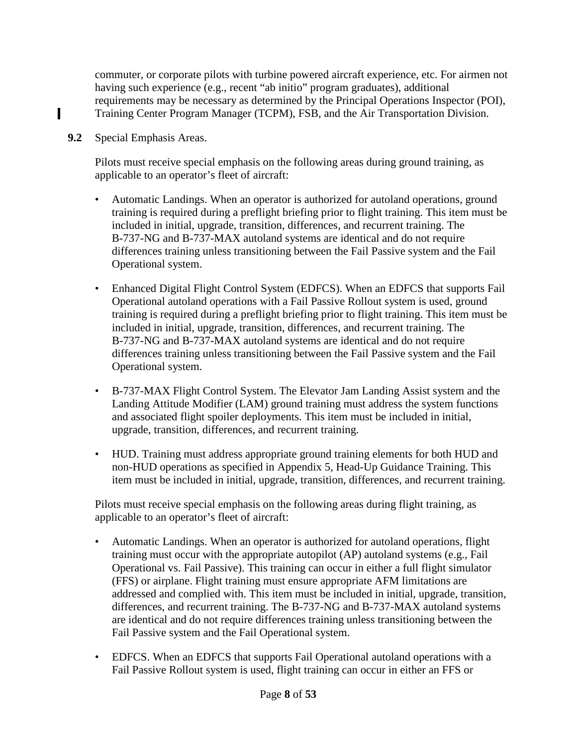commuter, or corporate pilots with turbine powered aircraft experience, etc. For airmen not having such experience (e.g., recent "ab initio" program graduates), additional requirements may be necessary as determined by the Principal Operations Inspector (POI), Training Center Program Manager (TCPM), FSB, and the Air Transportation Division.

**9.2** Special Emphasis Areas.

Ш

Pilots must receive special emphasis on the following areas during ground training, as applicable to an operator's fleet of aircraft:

- Automatic Landings. When an operator is authorized for autoland operations, ground training is required during a preflight briefing prior to flight training. This item must be included in initial, upgrade, transition, differences, and recurrent training. The B-737-NG and B-737-MAX autoland systems are identical and do not require differences training unless transitioning between the Fail Passive system and the Fail Operational system.
- Enhanced Digital Flight Control System (EDFCS). When an EDFCS that supports Fail Operational autoland operations with a Fail Passive Rollout system is used, ground training is required during a preflight briefing prior to flight training. This item must be included in initial, upgrade, transition, differences, and recurrent training. The B-737-NG and B-737-MAX autoland systems are identical and do not require differences training unless transitioning between the Fail Passive system and the Fail Operational system.
- B-737-MAX Flight Control System. The Elevator Jam Landing Assist system and the Landing Attitude Modifier (LAM) ground training must address the system functions and associated flight spoiler deployments. This item must be included in initial, upgrade, transition, differences, and recurrent training.
- HUD. Training must address appropriate ground training elements for both HUD and non-HUD operations as specified in Appendix 5, Head-Up Guidance Training. This item must be included in initial, upgrade, transition, differences, and recurrent training.

Pilots must receive special emphasis on the following areas during flight training, as applicable to an operator's fleet of aircraft:

- Automatic Landings. When an operator is authorized for autoland operations, flight training must occur with the appropriate autopilot (AP) autoland systems (e.g., Fail Operational vs. Fail Passive). This training can occur in either a full flight simulator (FFS) or airplane. Flight training must ensure appropriate AFM limitations are addressed and complied with. This item must be included in initial, upgrade, transition, differences, and recurrent training. The B-737-NG and B-737-MAX autoland systems are identical and do not require differences training unless transitioning between the Fail Passive system and the Fail Operational system.
- EDFCS. When an EDFCS that supports Fail Operational autoland operations with a Fail Passive Rollout system is used, flight training can occur in either an FFS or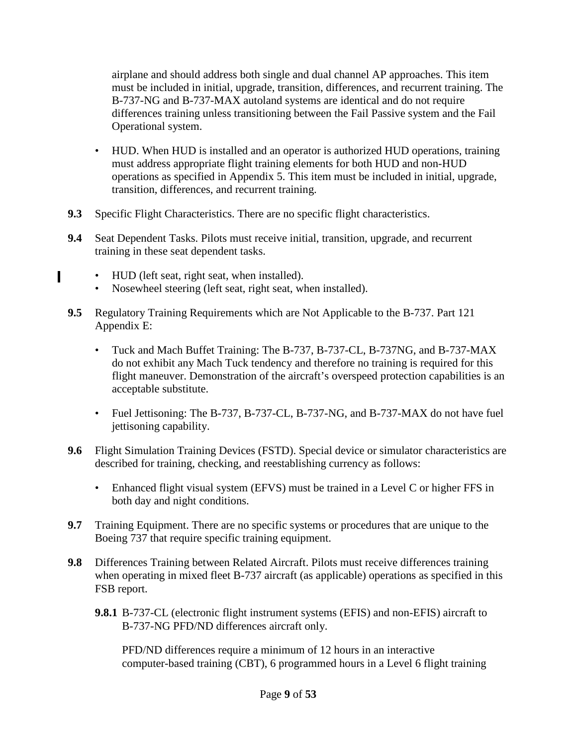airplane and should address both single and dual channel AP approaches. This item must be included in initial, upgrade, transition, differences, and recurrent training. The B-737-NG and B-737-MAX autoland systems are identical and do not require differences training unless transitioning between the Fail Passive system and the Fail Operational system.

- HUD. When HUD is installed and an operator is authorized HUD operations, training must address appropriate flight training elements for both HUD and non-HUD operations as specified in Appendix 5. This item must be included in initial, upgrade, transition, differences, and recurrent training.
- **9.3** Specific Flight Characteristics. There are no specific flight characteristics.
- **9.4** Seat Dependent Tasks. Pilots must receive initial, transition, upgrade, and recurrent training in these seat dependent tasks.
	- HUD (left seat, right seat, when installed).

Ш

- Nosewheel steering (left seat, right seat, when installed).
- **9.5** Regulatory Training Requirements which are Not Applicable to the B-737. Part 121 Appendix E:
	- Tuck and Mach Buffet Training: The B-737, B-737-CL, B-737NG, and B-737-MAX do not exhibit any Mach Tuck tendency and therefore no training is required for this flight maneuver. Demonstration of the aircraft's overspeed protection capabilities is an acceptable substitute.
	- Fuel Jettisoning: The B-737, B-737-CL, B-737-NG, and B-737-MAX do not have fuel jettisoning capability.
- **9.6** Flight Simulation Training Devices (FSTD). Special device or simulator characteristics are described for training, checking, and reestablishing currency as follows:
	- Enhanced flight visual system (EFVS) must be trained in a Level C or higher FFS in both day and night conditions.
- **9.7** Training Equipment. There are no specific systems or procedures that are unique to the Boeing 737 that require specific training equipment.
- **9.8** Differences Training between Related Aircraft. Pilots must receive differences training when operating in mixed fleet B-737 aircraft (as applicable) operations as specified in this FSB report.
	- **9.8.1** B-737-CL (electronic flight instrument systems (EFIS) and non-EFIS) aircraft to B-737-NG PFD/ND differences aircraft only.

PFD/ND differences require a minimum of 12 hours in an interactive computer-based training (CBT), 6 programmed hours in a Level 6 flight training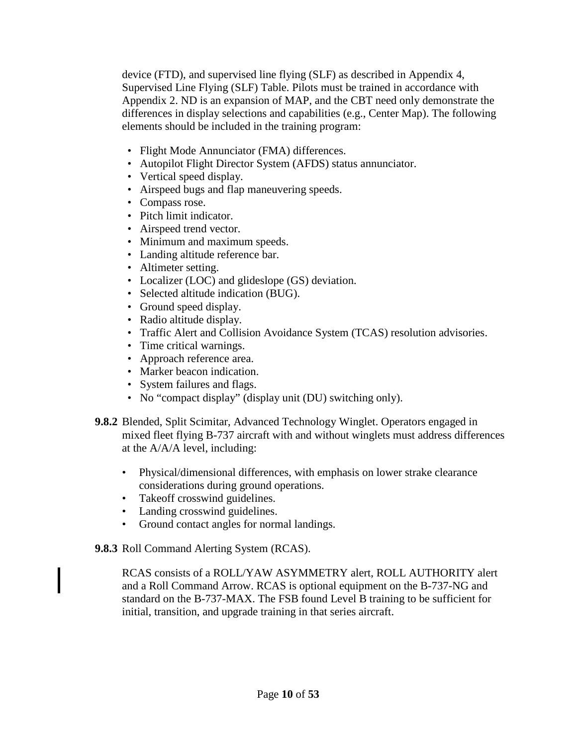device (FTD), and supervised line flying (SLF) as described in Appendix 4, Supervised Line Flying (SLF) Table. Pilots must be trained in accordance with Appendix 2. ND is an expansion of MAP, and the CBT need only demonstrate the differences in display selections and capabilities (e.g., Center Map). The following elements should be included in the training program:

- Flight Mode Annunciator (FMA) differences.
- Autopilot Flight Director System (AFDS) status annunciator.
- Vertical speed display.
- Airspeed bugs and flap maneuvering speeds.
- Compass rose.
- Pitch limit indicator.
- Airspeed trend vector.
- Minimum and maximum speeds.
- Landing altitude reference bar.
- Altimeter setting.
- Localizer (LOC) and glideslope (GS) deviation.
- Selected altitude indication (BUG).
- Ground speed display.
- Radio altitude display.
- Traffic Alert and Collision Avoidance System (TCAS) resolution advisories.
- Time critical warnings.
- Approach reference area.
- Marker beacon indication.
- System failures and flags.
- No "compact display" (display unit (DU) switching only).
- **9.8.2** Blended, Split Scimitar, Advanced Technology Winglet. Operators engaged in mixed fleet flying B-737 aircraft with and without winglets must address differences at the A/A/A level, including:
	- Physical/dimensional differences, with emphasis on lower strake clearance considerations during ground operations.
	- Takeoff crosswind guidelines.
	- Landing crosswind guidelines.
	- Ground contact angles for normal landings.

**9.8.3** Roll Command Alerting System (RCAS).

RCAS consists of a ROLL/YAW ASYMMETRY alert, ROLL AUTHORITY alert and a Roll Command Arrow. RCAS is optional equipment on the B-737-NG and standard on the B-737-MAX. The FSB found Level B training to be sufficient for initial, transition, and upgrade training in that series aircraft.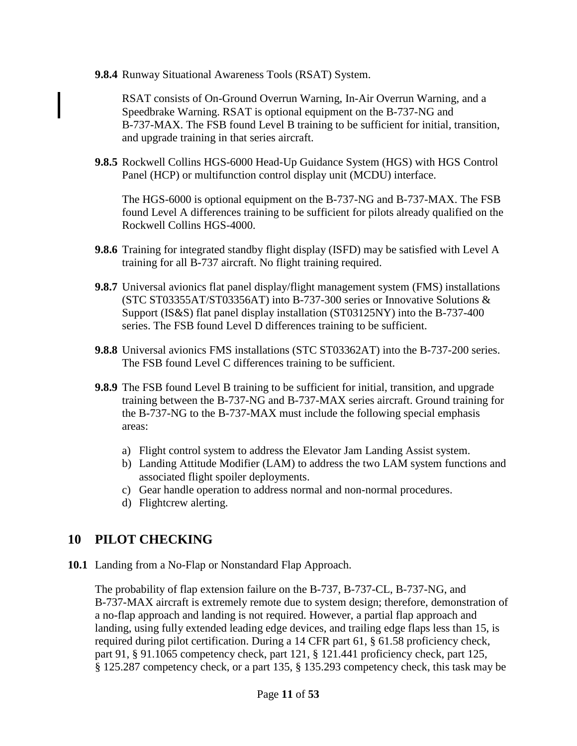**9.8.4** Runway Situational Awareness Tools (RSAT) System.

RSAT consists of On-Ground Overrun Warning, In-Air Overrun Warning, and a Speedbrake Warning. RSAT is optional equipment on the B-737-NG and B-737-MAX. The FSB found Level B training to be sufficient for initial, transition, and upgrade training in that series aircraft.

**9.8.5** Rockwell Collins HGS-6000 Head-Up Guidance System (HGS) with HGS Control Panel (HCP) or multifunction control display unit (MCDU) interface.

The HGS-6000 is optional equipment on the B-737-NG and B-737-MAX. The FSB found Level A differences training to be sufficient for pilots already qualified on the Rockwell Collins HGS-4000.

- **9.8.6** Training for integrated standby flight display (ISFD) may be satisfied with Level A training for all B-737 aircraft. No flight training required.
- **9.8.7** Universal avionics flat panel display/flight management system (FMS) installations (STC ST03355AT/ST03356AT) into B-737-300 series or Innovative Solutions & Support (IS&S) flat panel display installation (ST03125NY) into the B-737-400 series. The FSB found Level D differences training to be sufficient.
- **9.8.8** Universal avionics FMS installations (STC ST03362AT) into the B-737-200 series. The FSB found Level C differences training to be sufficient.
- **9.8.9** The FSB found Level B training to be sufficient for initial, transition, and upgrade training between the B-737-NG and B-737-MAX series aircraft. Ground training for the B-737-NG to the B-737-MAX must include the following special emphasis areas:
	- a) Flight control system to address the Elevator Jam Landing Assist system.
	- b) Landing Attitude Modifier (LAM) to address the two LAM system functions and associated flight spoiler deployments.
	- c) Gear handle operation to address normal and non-normal procedures.
	- d) Flightcrew alerting.

#### <span id="page-10-0"></span>**10 PILOT CHECKING**

**10.1** Landing from a No-Flap or Nonstandard Flap Approach.

The probability of flap extension failure on the B-737, B-737-CL, B-737-NG, and B-737-MAX aircraft is extremely remote due to system design; therefore, demonstration of a no-flap approach and landing is not required. However, a partial flap approach and landing, using fully extended leading edge devices, and trailing edge flaps less than 15, is required during pilot certification. During a 14 CFR part 61, § 61.58 proficiency check, part 91, § 91.1065 competency check, part 121, § 121.441 proficiency check, part 125, § 125.287 competency check, or a part 135, § 135.293 competency check, this task may be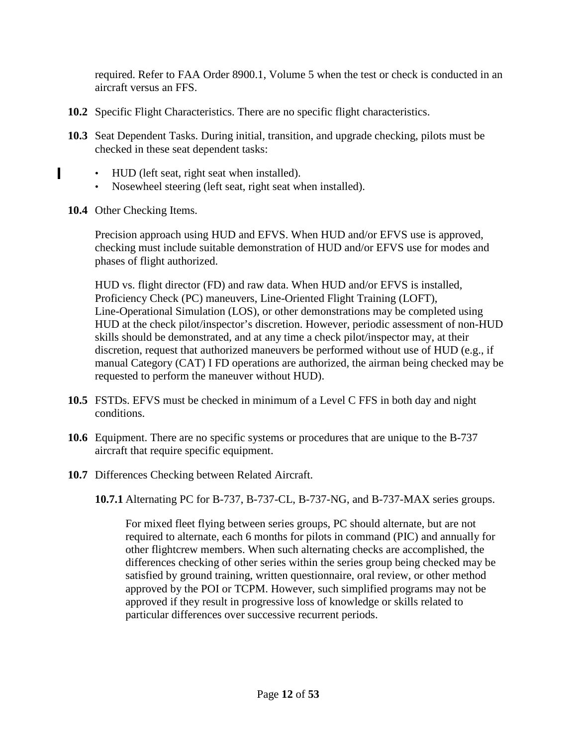required. Refer to FAA Order 8900.1, Volume 5 when the test or check is conducted in an aircraft versus an FFS.

- **10.2** Specific Flight Characteristics. There are no specific flight characteristics.
- **10.3** Seat Dependent Tasks. During initial, transition, and upgrade checking, pilots must be checked in these seat dependent tasks:
	- HUD (left seat, right seat when installed).
	- Nosewheel steering (left seat, right seat when installed).
- **10.4** Other Checking Items.

п

Precision approach using HUD and EFVS. When HUD and/or EFVS use is approved, checking must include suitable demonstration of HUD and/or EFVS use for modes and phases of flight authorized.

HUD vs. flight director (FD) and raw data. When HUD and/or EFVS is installed, Proficiency Check (PC) maneuvers, Line-Oriented Flight Training (LOFT), Line-Operational Simulation (LOS), or other demonstrations may be completed using HUD at the check pilot/inspector's discretion. However, periodic assessment of non-HUD skills should be demonstrated, and at any time a check pilot/inspector may, at their discretion, request that authorized maneuvers be performed without use of HUD (e.g., if manual Category (CAT) I FD operations are authorized, the airman being checked may be requested to perform the maneuver without HUD).

- **10.5** FSTDs. EFVS must be checked in minimum of a Level C FFS in both day and night conditions.
- **10.6** Equipment. There are no specific systems or procedures that are unique to the B-737 aircraft that require specific equipment.
- **10.7** Differences Checking between Related Aircraft.

**10.7.1** Alternating PC for B-737, B-737-CL, B-737-NG, and B-737-MAX series groups.

For mixed fleet flying between series groups, PC should alternate, but are not required to alternate, each 6 months for pilots in command (PIC) and annually for other flightcrew members. When such alternating checks are accomplished, the differences checking of other series within the series group being checked may be satisfied by ground training, written questionnaire, oral review, or other method approved by the POI or TCPM. However, such simplified programs may not be approved if they result in progressive loss of knowledge or skills related to particular differences over successive recurrent periods.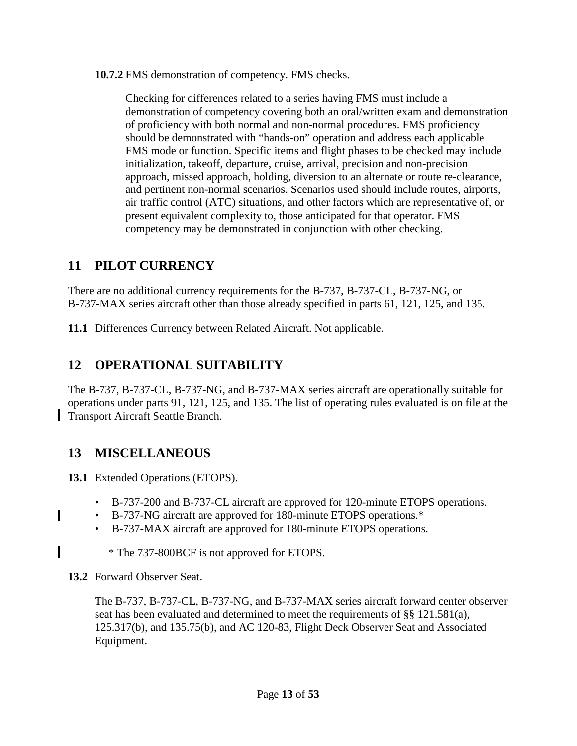**10.7.2** FMS demonstration of competency. FMS checks.

Checking for differences related to a series having FMS must include a demonstration of competency covering both an oral/written exam and demonstration of proficiency with both normal and non-normal procedures. FMS proficiency should be demonstrated with "hands-on" operation and address each applicable FMS mode or function. Specific items and flight phases to be checked may include initialization, takeoff, departure, cruise, arrival, precision and non-precision approach, missed approach, holding, diversion to an alternate or route re-clearance, and pertinent non-normal scenarios. Scenarios used should include routes, airports, air traffic control (ATC) situations, and other factors which are representative of, or present equivalent complexity to, those anticipated for that operator. FMS competency may be demonstrated in conjunction with other checking.

# <span id="page-12-0"></span>**11 PILOT CURRENCY**

There are no additional currency requirements for the B-737, B-737-CL, B-737-NG, or B-737-MAX series aircraft other than those already specified in parts 61, 121, 125, and 135.

**11.1** Differences Currency between Related Aircraft. Not applicable.

# <span id="page-12-1"></span>**12 OPERATIONAL SUITABILITY**

The B-737, B-737-CL, B-737-NG, and B-737-MAX series aircraft are operationally suitable for operations under parts 91, 121, 125, and 135. The list of operating rules evaluated is on file at the Transport Aircraft Seattle Branch.

# <span id="page-12-2"></span>**13 MISCELLANEOUS**

**13.1** Extended Operations (ETOPS).

- B-737-200 and B-737-CL aircraft are approved for 120-minute ETOPS operations.
- B-737-NG aircraft are approved for 180-minute ETOPS operations.\*
- B-737-MAX aircraft are approved for 180-minute ETOPS operations.
- \* The 737-800BCF is not approved for ETOPS.
- **13.2** Forward Observer Seat.

п

п

The B-737, B-737-CL, B-737-NG, and B-737-MAX series aircraft forward center observer seat has been evaluated and determined to meet the requirements of  $\S$ § 121.581(a), 125.317(b), and 135.75(b), and AC 120-83, Flight Deck Observer Seat and Associated Equipment.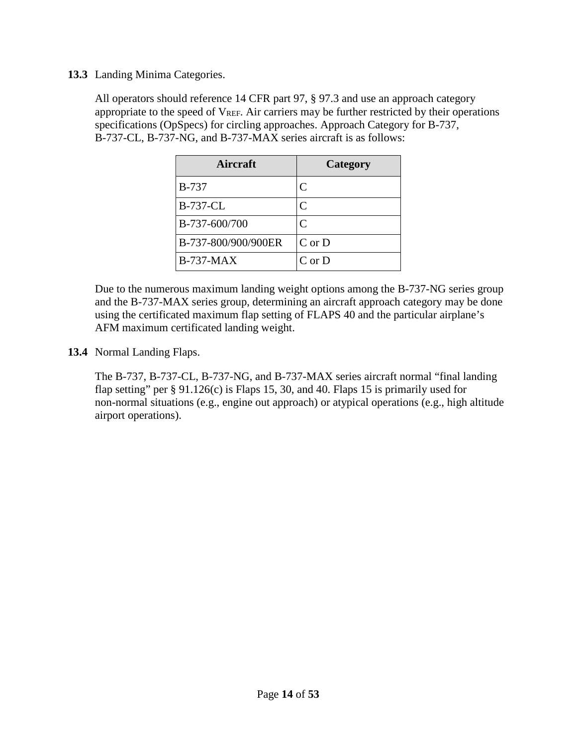#### **13.3** Landing Minima Categories.

All operators should reference 14 CFR part 97, § 97.3 and use an approach category appropriate to the speed of  $V_{REF}$ . Air carriers may be further restricted by their operations specifications (OpSpecs) for circling approaches. Approach Category for B-737, B-737-CL, B-737-NG, and B-737-MAX series aircraft is as follows:

| Aircraft            | Category     |
|---------------------|--------------|
| <b>B-737</b>        | C            |
| <b>B-737-CL</b>     | C            |
| B-737-600/700       | $\mathsf{C}$ |
| B-737-800/900/900ER | $C$ or $D$   |
| $B-737-MAX$         | $C$ or $D$   |

Due to the numerous maximum landing weight options among the B-737-NG series group and the B-737-MAX series group, determining an aircraft approach category may be done using the certificated maximum flap setting of FLAPS 40 and the particular airplane's AFM maximum certificated landing weight.

**13.4** Normal Landing Flaps.

The B-737, B-737-CL, B-737-NG, and B-737-MAX series aircraft normal "final landing flap setting" per  $\S 91.126(c)$  is Flaps 15, 30, and 40. Flaps 15 is primarily used for non-normal situations (e.g., engine out approach) or atypical operations (e.g., high altitude airport operations).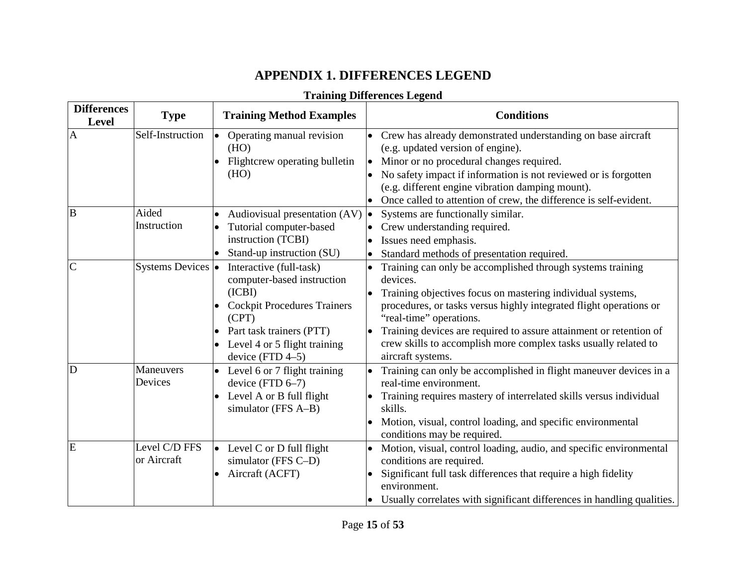# **APPENDIX 1. DIFFERENCES LEGEND**

#### **Training Differences Legend**

<span id="page-14-0"></span>

| <b>Differences</b><br>Level | <b>Type</b>                              | <b>Training Method Examples</b>                                                                                                                                                                                                            | <b>Conditions</b>                                                                                                                                                                                                                                                                                                                                                                                                                                                   |
|-----------------------------|------------------------------------------|--------------------------------------------------------------------------------------------------------------------------------------------------------------------------------------------------------------------------------------------|---------------------------------------------------------------------------------------------------------------------------------------------------------------------------------------------------------------------------------------------------------------------------------------------------------------------------------------------------------------------------------------------------------------------------------------------------------------------|
| $\overline{A}$<br>B         | Self-Instruction<br>Aided<br>Instruction | Operating manual revision<br>$\bullet$<br>(HO)<br>Flightcrew operating bulletin<br>(HO)<br>Audiovisual presentation (AV)<br>Tutorial computer-based<br>instruction (TCBI)                                                                  | • Crew has already demonstrated understanding on base aircraft<br>(e.g. updated version of engine).<br>Minor or no procedural changes required.<br>$\bullet$<br>No safety impact if information is not reviewed or is forgotten<br>(e.g. different engine vibration damping mount).<br>Once called to attention of crew, the difference is self-evident.<br>Systems are functionally similar.<br>$\bullet$<br>Crew understanding required.<br>Issues need emphasis. |
| $\overline{C}$              | Systems Devices •                        | Stand-up instruction (SU)<br>Interactive (full-task)<br>computer-based instruction<br>(ICBI)<br><b>Cockpit Procedures Trainers</b><br>(CPT)<br>Part task trainers (PTT)<br>$\bullet$<br>Level 4 or 5 flight training<br>device $(FTD 4-5)$ | Standard methods of presentation required.<br>Training can only be accomplished through systems training<br>devices.<br>Training objectives focus on mastering individual systems,<br>procedures, or tasks versus highly integrated flight operations or<br>"real-time" operations.<br>Training devices are required to assure attainment or retention of<br>crew skills to accomplish more complex tasks usually related to<br>aircraft systems.                   |
| D                           | Maneuvers<br>Devices                     | Level 6 or 7 flight training<br>device (FTD $6-7$ )<br>Level A or B full flight<br>$\bullet$<br>simulator (FFS A-B)                                                                                                                        | Training can only be accomplished in flight maneuver devices in a<br>$\bullet$<br>real-time environment.<br>Training requires mastery of interrelated skills versus individual<br>skills.<br>Motion, visual, control loading, and specific environmental<br>conditions may be required.                                                                                                                                                                             |
| E                           | Level C/D FFS<br>or Aircraft             | • Level C or D full flight<br>simulator (FFS C-D)<br>Aircraft (ACFT)                                                                                                                                                                       | Motion, visual, control loading, audio, and specific environmental<br>conditions are required.<br>Significant full task differences that require a high fidelity<br>environment.<br>Usually correlates with significant differences in handling qualities.                                                                                                                                                                                                          |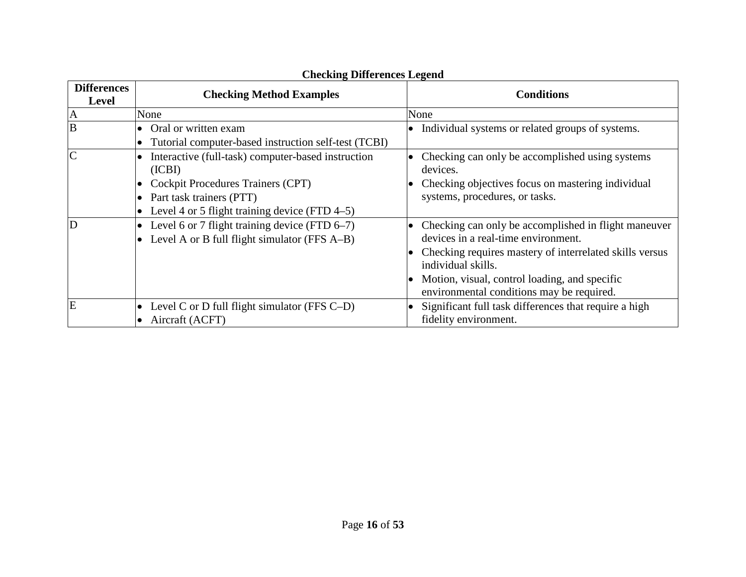| <b>Differences</b><br><b>Level</b> | <b>Checking Method Examples</b>                                                                                                                                                   | <b>Conditions</b>                                                                                                                                                                                                                                                          |  |  |  |
|------------------------------------|-----------------------------------------------------------------------------------------------------------------------------------------------------------------------------------|----------------------------------------------------------------------------------------------------------------------------------------------------------------------------------------------------------------------------------------------------------------------------|--|--|--|
| $\mathbf{A}$                       | None                                                                                                                                                                              | None                                                                                                                                                                                                                                                                       |  |  |  |
| $\overline{B}$                     | Oral or written exam<br>Tutorial computer-based instruction self-test (TCBI)                                                                                                      | • Individual systems or related groups of systems.                                                                                                                                                                                                                         |  |  |  |
| $\overline{C}$                     | Interactive (full-task) computer-based instruction<br>(ICBI)<br>Cockpit Procedures Trainers (CPT)<br>Part task trainers (PTT)<br>Level 4 or 5 flight training device (FTD $4-5$ ) | Checking can only be accomplished using systems<br>devices.<br>Checking objectives focus on mastering individual<br>systems, procedures, or tasks.                                                                                                                         |  |  |  |
| D                                  | Level 6 or 7 flight training device (FTD $6-7$ )<br>Level A or B full flight simulator (FFS A–B)                                                                                  | Checking can only be accomplished in flight maneuver<br>devices in a real-time environment.<br>Checking requires mastery of interrelated skills versus<br>individual skills.<br>Motion, visual, control loading, and specific<br>environmental conditions may be required. |  |  |  |
| E                                  | Level C or D full flight simulator (FFS $C-D$ )<br>Aircraft (ACFT)                                                                                                                | Significant full task differences that require a high<br>fidelity environment.                                                                                                                                                                                             |  |  |  |

#### **Checking Differences Legend**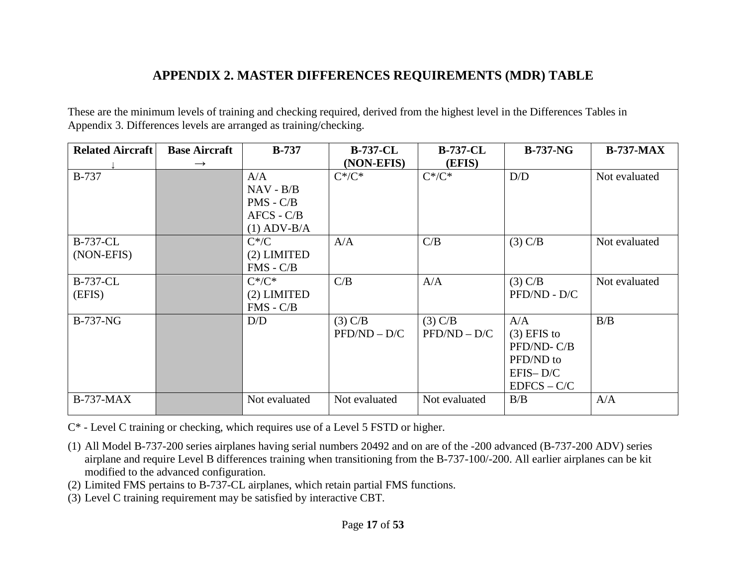## **APPENDIX 2. MASTER DIFFERENCES REQUIREMENTS (MDR) TABLE**

These are the minimum levels of training and checking required, derived from the highest level in the Differences Tables in Appendix 3. Differences levels are arranged as training/checking.

<span id="page-16-0"></span>

| <b>Related Aircraft</b>       | <b>Base Aircraft</b><br>$\rightarrow$ | $B-737$                                                            | <b>B-737-CL</b><br>(NON-EFIS) | <b>B-737-CL</b><br>(EFIS)   | $B-737-NG$                                                                     | <b>B-737-MAX</b> |
|-------------------------------|---------------------------------------|--------------------------------------------------------------------|-------------------------------|-----------------------------|--------------------------------------------------------------------------------|------------------|
| <b>B-737</b>                  |                                       | A/A<br>$NAV - B/B$<br>$PMS - C/B$<br>$AFCS - C/B$<br>$(1)$ ADV-B/A | $C^*/C^*$                     | $C^*/C^*$                   | D/D                                                                            | Not evaluated    |
| <b>B-737-CL</b><br>(NON-EFIS) |                                       | $C^*/C$<br>(2) LIMITED<br>$FMS - C/B$                              | A/A                           | C/B                         | (3) C/B                                                                        | Not evaluated    |
| <b>B-737-CL</b><br>(EFIS)     |                                       | $C^*/C^*$<br>(2) LIMITED<br>$FMS - C/B$                            | C/B                           | A/A                         | $(3)$ C/B<br>PFD/ND - D/C                                                      | Not evaluated    |
| <b>B-737-NG</b>               |                                       | D/D                                                                | $(3)$ C/B<br>$PFD/ND - D/C$   | $(3)$ C/B<br>$PFD/ND - D/C$ | A/A<br>$(3)$ EFIS to<br>PFD/ND-C/B<br>PFD/ND to<br>$EFIS-D/C$<br>$EDFCS - C/C$ | B/B              |
| <b>B-737-MAX</b>              |                                       | Not evaluated                                                      | Not evaluated                 | Not evaluated               | B/B                                                                            | A/A              |

C\* - Level C training or checking, which requires use of a Level 5 FSTD or higher.

- (1) All Model B-737-200 series airplanes having serial numbers 20492 and on are of the -200 advanced (B-737-200 ADV) series airplane and require Level B differences training when transitioning from the B-737-100/-200. All earlier airplanes can be kit modified to the advanced configuration.
- (2) Limited FMS pertains to B-737-CL airplanes, which retain partial FMS functions.
- (3) Level C training requirement may be satisfied by interactive CBT.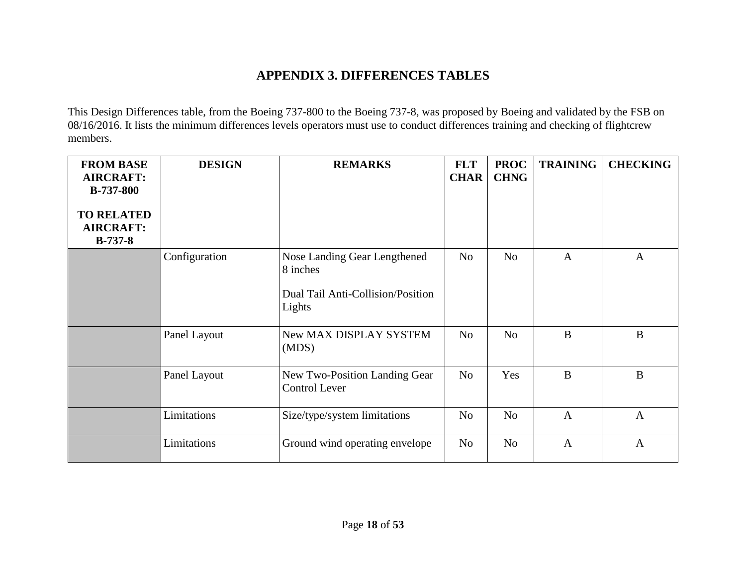## **APPENDIX 3. DIFFERENCES TABLES**

This Design Differences table, from the Boeing 737-800 to the Boeing 737-8, was proposed by Boeing and validated by the FSB on 08/16/2016. It lists the minimum differences levels operators must use to conduct differences training and checking of flightcrew members.

<span id="page-17-0"></span>

| <b>FROM BASE</b><br><b>AIRCRAFT:</b><br><b>B-737-800</b><br><b>TO RELATED</b><br><b>AIRCRAFT:</b><br>$B-737-8$ | <b>DESIGN</b> | <b>REMARKS</b>                                                                          | <b>FLT</b><br><b>CHAR</b> | <b>PROC</b><br><b>CHNG</b> | <b>TRAINING</b> | <b>CHECKING</b> |
|----------------------------------------------------------------------------------------------------------------|---------------|-----------------------------------------------------------------------------------------|---------------------------|----------------------------|-----------------|-----------------|
|                                                                                                                | Configuration | Nose Landing Gear Lengthened<br>8 inches<br>Dual Tail Anti-Collision/Position<br>Lights | N <sub>o</sub>            | N <sub>o</sub>             | $\overline{A}$  | $\mathbf{A}$    |
|                                                                                                                | Panel Layout  | New MAX DISPLAY SYSTEM<br>(MDS)                                                         | N <sub>o</sub>            | N <sub>o</sub>             | $\mathbf{B}$    | B               |
|                                                                                                                | Panel Layout  | New Two-Position Landing Gear<br><b>Control Lever</b>                                   | N <sub>o</sub>            | Yes                        | $\mathbf{B}$    | B               |
|                                                                                                                | Limitations   | Size/type/system limitations                                                            | N <sub>o</sub>            | N <sub>o</sub>             | $\mathbf{A}$    | $\mathbf{A}$    |
|                                                                                                                | Limitations   | Ground wind operating envelope                                                          | N <sub>o</sub>            | N <sub>o</sub>             | $\mathbf{A}$    | $\mathbf{A}$    |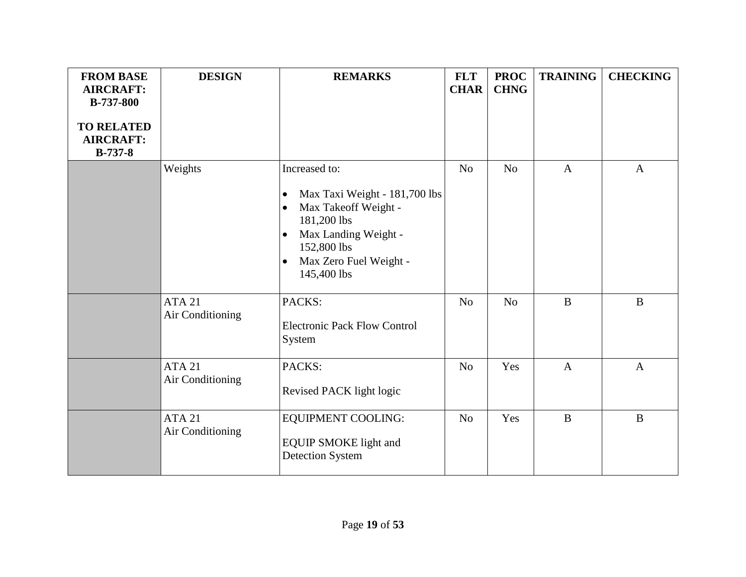| <b>FROM BASE</b><br><b>AIRCRAFT:</b><br>B-737-800<br><b>TO RELATED</b><br><b>AIRCRAFT:</b><br>$B-737-8$ | <b>DESIGN</b>                     | <b>REMARKS</b>                                                                                                                                                                                                            | <b>FLT</b><br><b>CHAR</b> | <b>PROC</b><br><b>CHNG</b> | <b>TRAINING</b> | <b>CHECKING</b> |
|---------------------------------------------------------------------------------------------------------|-----------------------------------|---------------------------------------------------------------------------------------------------------------------------------------------------------------------------------------------------------------------------|---------------------------|----------------------------|-----------------|-----------------|
|                                                                                                         | Weights                           | Increased to:<br>Max Taxi Weight - 181,700 lbs<br>$\bullet$<br>Max Takeoff Weight -<br>$\bullet$<br>181,200 lbs<br>Max Landing Weight -<br>$\bullet$<br>152,800 lbs<br>Max Zero Fuel Weight -<br>$\bullet$<br>145,400 lbs | N <sub>o</sub>            | N <sub>o</sub>             | $\mathbf{A}$    | $\mathbf{A}$    |
|                                                                                                         | <b>ATA 21</b><br>Air Conditioning | PACKS:<br><b>Electronic Pack Flow Control</b><br>System                                                                                                                                                                   | No                        | No                         | $\overline{B}$  | $\mathbf B$     |
|                                                                                                         | <b>ATA 21</b><br>Air Conditioning | PACKS:<br>Revised PACK light logic                                                                                                                                                                                        | N <sub>o</sub>            | Yes                        | $\overline{A}$  | $\mathbf{A}$    |
|                                                                                                         | <b>ATA 21</b><br>Air Conditioning | <b>EQUIPMENT COOLING:</b><br><b>EQUIP SMOKE light and</b><br><b>Detection System</b>                                                                                                                                      | N <sub>o</sub>            | Yes                        | $\mathbf{B}$    | $\mathbf{B}$    |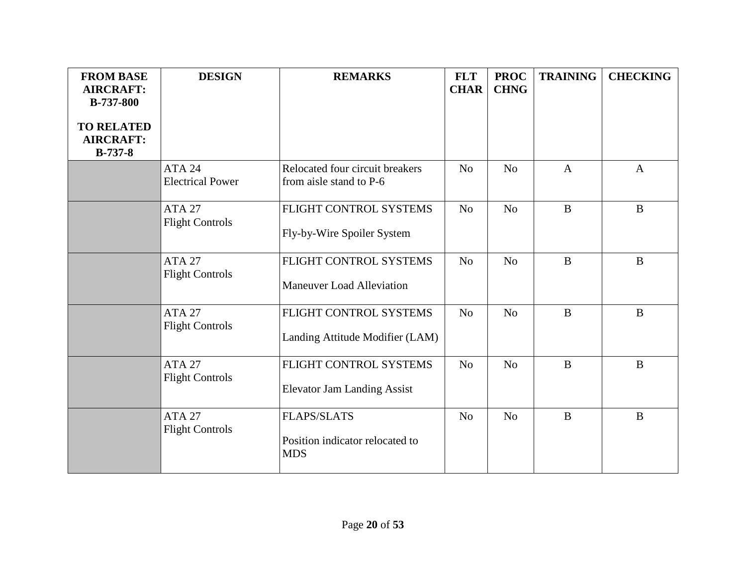| <b>FROM BASE</b><br><b>AIRCRAFT:</b><br><b>B-737-800</b> | <b>DESIGN</b>                            | <b>REMARKS</b>                                                      | <b>FLT</b><br><b>CHAR</b> | <b>PROC</b><br><b>CHNG</b> | <b>TRAINING</b> | <b>CHECKING</b> |
|----------------------------------------------------------|------------------------------------------|---------------------------------------------------------------------|---------------------------|----------------------------|-----------------|-----------------|
| <b>TO RELATED</b><br><b>AIRCRAFT:</b><br><b>B-737-8</b>  |                                          |                                                                     |                           |                            |                 |                 |
|                                                          | <b>ATA 24</b><br><b>Electrical Power</b> | Relocated four circuit breakers<br>from aisle stand to P-6          | N <sub>o</sub>            | N <sub>o</sub>             | $\mathbf{A}$    | $\mathbf{A}$    |
|                                                          | <b>ATA 27</b><br><b>Flight Controls</b>  | FLIGHT CONTROL SYSTEMS<br>Fly-by-Wire Spoiler System                | N <sub>o</sub>            | N <sub>o</sub>             | $\, {\bf B}$    | $\bf{B}$        |
|                                                          | <b>ATA 27</b><br><b>Flight Controls</b>  | FLIGHT CONTROL SYSTEMS<br><b>Maneuver Load Alleviation</b>          | N <sub>o</sub>            | N <sub>o</sub>             | $\, {\bf B}$    | $\bf{B}$        |
|                                                          | <b>ATA 27</b><br><b>Flight Controls</b>  | FLIGHT CONTROL SYSTEMS<br>Landing Attitude Modifier (LAM)           | N <sub>o</sub>            | N <sub>o</sub>             | $\, {\bf B}$    | $\bf{B}$        |
|                                                          | <b>ATA 27</b><br><b>Flight Controls</b>  | FLIGHT CONTROL SYSTEMS<br><b>Elevator Jam Landing Assist</b>        | N <sub>o</sub>            | N <sub>o</sub>             | $\bf{B}$        | $\bf{B}$        |
|                                                          | <b>ATA 27</b><br><b>Flight Controls</b>  | <b>FLAPS/SLATS</b><br>Position indicator relocated to<br><b>MDS</b> | N <sub>0</sub>            | N <sub>o</sub>             | $\bf{B}$        | B               |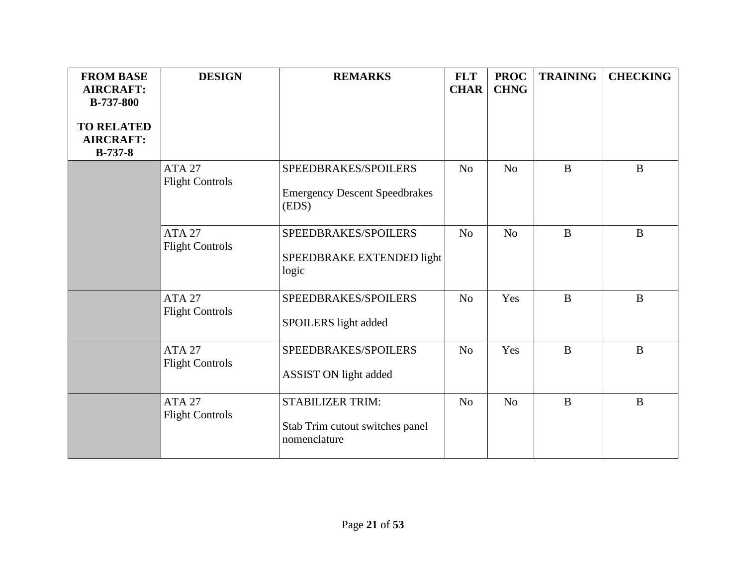| <b>FROM BASE</b><br><b>AIRCRAFT:</b><br><b>B-737-800</b><br><b>TO RELATED</b><br><b>AIRCRAFT:</b><br>$B-737-8$ | <b>DESIGN</b>                           | <b>REMARKS</b>                                                             | <b>FLT</b><br><b>CHAR</b> | <b>PROC</b><br><b>CHNG</b> | <b>TRAINING</b> | <b>CHECKING</b> |
|----------------------------------------------------------------------------------------------------------------|-----------------------------------------|----------------------------------------------------------------------------|---------------------------|----------------------------|-----------------|-----------------|
|                                                                                                                | <b>ATA 27</b><br><b>Flight Controls</b> | SPEEDBRAKES/SPOILERS<br><b>Emergency Descent Speedbrakes</b><br>(EDS)      | N <sub>o</sub>            | N <sub>o</sub>             | $\bf{B}$        | $\mathbf{B}$    |
|                                                                                                                | <b>ATA 27</b><br><b>Flight Controls</b> | SPEEDBRAKES/SPOILERS<br>SPEEDBRAKE EXTENDED light<br>logic                 | N <sub>o</sub>            | N <sub>o</sub>             | $\bf{B}$        | $\mathbf{B}$    |
|                                                                                                                | <b>ATA 27</b><br><b>Flight Controls</b> | SPEEDBRAKES/SPOILERS<br>SPOILERS light added                               | N <sub>o</sub>            | Yes                        | $\bf{B}$        | B               |
|                                                                                                                | <b>ATA 27</b><br><b>Flight Controls</b> | SPEEDBRAKES/SPOILERS<br>ASSIST ON light added                              | N <sub>o</sub>            | Yes                        | $\bf{B}$        | B               |
|                                                                                                                | <b>ATA 27</b><br><b>Flight Controls</b> | <b>STABILIZER TRIM:</b><br>Stab Trim cutout switches panel<br>nomenclature | N <sub>o</sub>            | N <sub>o</sub>             | $\bf{B}$        | $\mathbf{B}$    |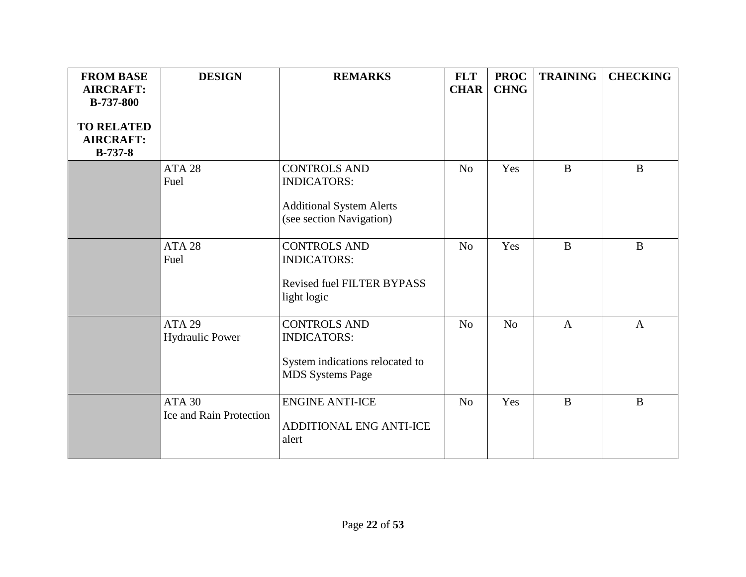| <b>FROM BASE</b><br><b>AIRCRAFT:</b><br><b>B-737-800</b><br><b>TO RELATED</b><br><b>AIRCRAFT:</b><br>$B-737-8$ | <b>DESIGN</b>                            | <b>REMARKS</b>                                                                                           | <b>FLT</b><br><b>CHAR</b> | <b>PROC</b><br><b>CHNG</b> | <b>TRAINING</b> | <b>CHECKING</b> |
|----------------------------------------------------------------------------------------------------------------|------------------------------------------|----------------------------------------------------------------------------------------------------------|---------------------------|----------------------------|-----------------|-----------------|
|                                                                                                                | ATA <sub>28</sub><br>Fuel                | <b>CONTROLS AND</b><br><b>INDICATORS:</b><br><b>Additional System Alerts</b><br>(see section Navigation) | N <sub>o</sub>            | Yes                        | $\mathbf{B}$    | B               |
|                                                                                                                | ATA <sub>28</sub><br>Fuel                | <b>CONTROLS AND</b><br><b>INDICATORS:</b><br><b>Revised fuel FILTER BYPASS</b><br>light logic            | N <sub>o</sub>            | Yes                        | $\mathbf{B}$    | $\bf{B}$        |
|                                                                                                                | <b>ATA 29</b><br><b>Hydraulic Power</b>  | <b>CONTROLS AND</b><br><b>INDICATORS:</b><br>System indications relocated to<br><b>MDS</b> Systems Page  | N <sub>o</sub>            | N <sub>o</sub>             | $\mathbf{A}$    | $\mathbf{A}$    |
|                                                                                                                | <b>ATA 30</b><br>Ice and Rain Protection | <b>ENGINE ANTI-ICE</b><br>ADDITIONAL ENG ANTI-ICE<br>alert                                               | N <sub>o</sub>            | Yes                        | $\mathbf{B}$    | B               |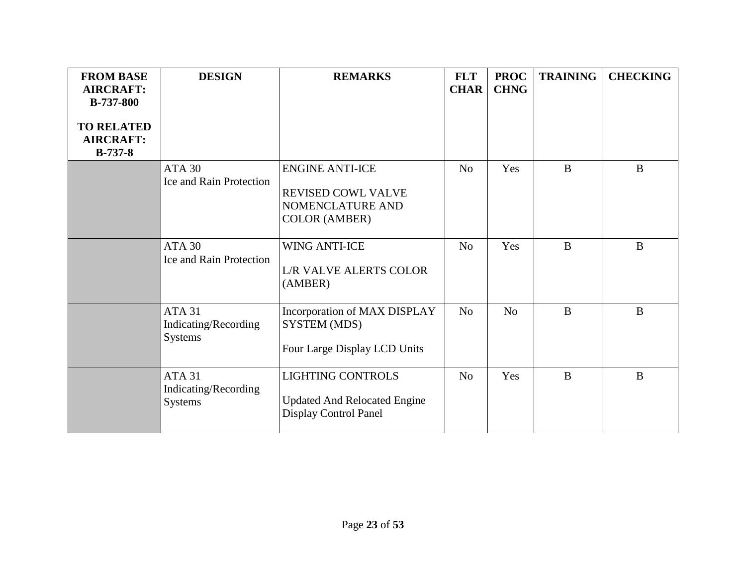| <b>FROM BASE</b><br><b>AIRCRAFT:</b><br><b>B-737-800</b><br><b>TO RELATED</b><br><b>AIRCRAFT:</b><br>$B-737-8$ | <b>DESIGN</b>                                           | <b>REMARKS</b>                                                                           | <b>FLT</b><br><b>CHAR</b> | <b>PROC</b><br><b>CHNG</b> | <b>TRAINING</b> | <b>CHECKING</b> |
|----------------------------------------------------------------------------------------------------------------|---------------------------------------------------------|------------------------------------------------------------------------------------------|---------------------------|----------------------------|-----------------|-----------------|
|                                                                                                                | ATA 30<br>Ice and Rain Protection                       | <b>ENGINE ANTI-ICE</b><br>REVISED COWL VALVE<br>NOMENCLATURE AND<br><b>COLOR (AMBER)</b> | N <sub>o</sub>            | Yes                        | $\bf{B}$        | $\bf{B}$        |
|                                                                                                                | ATA <sub>30</sub><br><b>Ice and Rain Protection</b>     | <b>WING ANTI-ICE</b><br><b>L/R VALVE ALERTS COLOR</b><br>(AMBER)                         | N <sub>o</sub>            | Yes                        | $\bf{B}$        | $\bf{B}$        |
|                                                                                                                | <b>ATA 31</b><br>Indicating/Recording<br><b>Systems</b> | Incorporation of MAX DISPLAY<br>SYSTEM (MDS)<br>Four Large Display LCD Units             | N <sub>o</sub>            | N <sub>o</sub>             | $\bf{B}$        | $\mathbf{B}$    |
|                                                                                                                | <b>ATA 31</b><br>Indicating/Recording<br><b>Systems</b> | <b>LIGHTING CONTROLS</b><br><b>Updated And Relocated Engine</b><br>Display Control Panel | N <sub>o</sub>            | Yes                        | $\bf{B}$        | B               |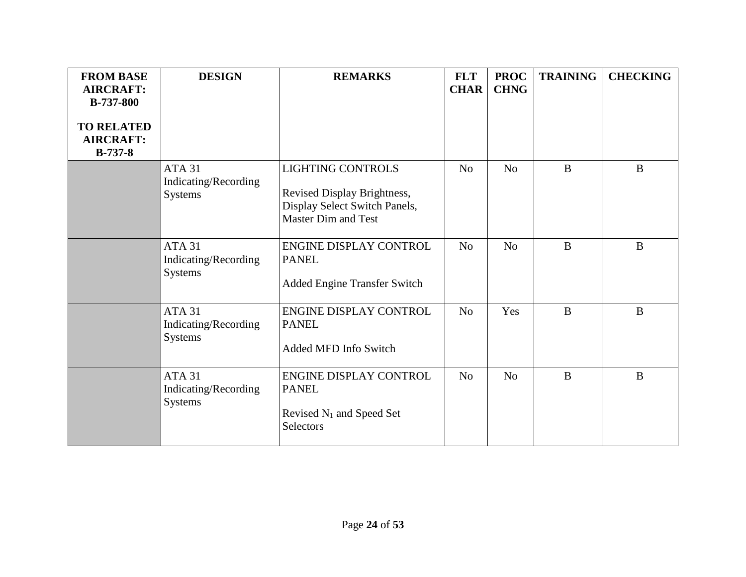| <b>FROM BASE</b><br><b>AIRCRAFT:</b><br><b>B-737-800</b><br><b>TO RELATED</b><br><b>AIRCRAFT:</b><br>$B-737-8$ | <b>DESIGN</b>                                           | <b>REMARKS</b>                                                                                                         | <b>FLT</b><br><b>CHAR</b> | <b>PROC</b><br><b>CHNG</b> | <b>TRAINING</b> | <b>CHECKING</b> |
|----------------------------------------------------------------------------------------------------------------|---------------------------------------------------------|------------------------------------------------------------------------------------------------------------------------|---------------------------|----------------------------|-----------------|-----------------|
|                                                                                                                | <b>ATA 31</b><br>Indicating/Recording<br><b>Systems</b> | <b>LIGHTING CONTROLS</b><br>Revised Display Brightness,<br>Display Select Switch Panels,<br><b>Master Dim and Test</b> | N <sub>o</sub>            | N <sub>o</sub>             | $\bf{B}$        | $\bf{B}$        |
|                                                                                                                | ATA <sub>31</sub><br>Indicating/Recording<br>Systems    | <b>ENGINE DISPLAY CONTROL</b><br><b>PANEL</b><br><b>Added Engine Transfer Switch</b>                                   | N <sub>o</sub>            | N <sub>o</sub>             | $\bf{B}$        | B               |
|                                                                                                                | ATA 31<br>Indicating/Recording<br><b>Systems</b>        | <b>ENGINE DISPLAY CONTROL</b><br><b>PANEL</b><br><b>Added MFD Info Switch</b>                                          | N <sub>o</sub>            | Yes                        | B               | B               |
|                                                                                                                | <b>ATA 31</b><br>Indicating/Recording<br><b>Systems</b> | <b>ENGINE DISPLAY CONTROL</b><br><b>PANEL</b><br>Revised N <sub>1</sub> and Speed Set<br>Selectors                     | N <sub>o</sub>            | N <sub>o</sub>             | $\bf{B}$        | $\bf{B}$        |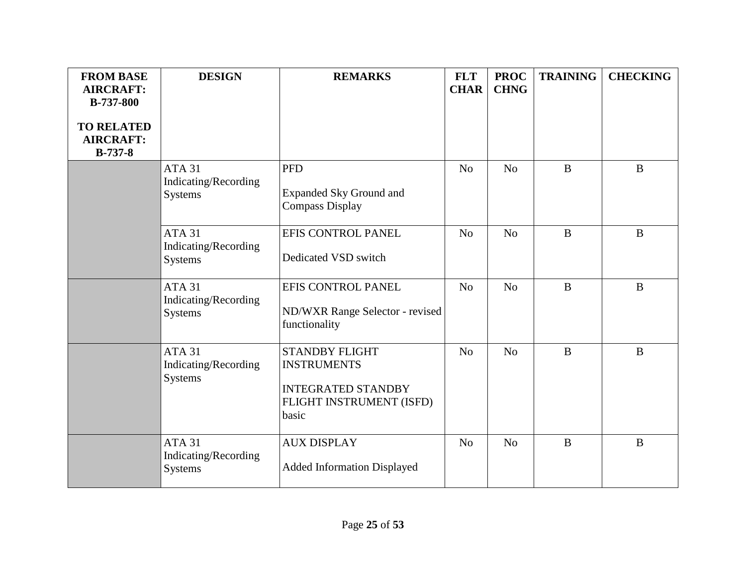| <b>FROM BASE</b><br><b>AIRCRAFT:</b><br><b>B-737-800</b><br><b>TO RELATED</b> | <b>DESIGN</b>                                               | <b>REMARKS</b>                                                                                                | <b>FLT</b><br><b>CHAR</b> | <b>PROC</b><br><b>CHNG</b> | <b>TRAINING</b> | <b>CHECKING</b> |
|-------------------------------------------------------------------------------|-------------------------------------------------------------|---------------------------------------------------------------------------------------------------------------|---------------------------|----------------------------|-----------------|-----------------|
| <b>AIRCRAFT:</b><br>$B-737-8$                                                 |                                                             |                                                                                                               |                           |                            |                 |                 |
|                                                                               | ATA <sub>31</sub><br>Indicating/Recording<br><b>Systems</b> | <b>PFD</b><br><b>Expanded Sky Ground and</b><br><b>Compass Display</b>                                        | N <sub>o</sub>            | N <sub>o</sub>             | $\mathbf{B}$    | $\mathbf{B}$    |
|                                                                               | ATA <sub>31</sub><br>Indicating/Recording<br><b>Systems</b> | EFIS CONTROL PANEL<br>Dedicated VSD switch                                                                    | N <sub>o</sub>            | N <sub>o</sub>             | $\mathbf{B}$    | $\mathbf{B}$    |
|                                                                               | ATA 31<br>Indicating/Recording<br><b>Systems</b>            | EFIS CONTROL PANEL<br>ND/WXR Range Selector - revised<br>functionality                                        | N <sub>o</sub>            | N <sub>o</sub>             | $\mathbf{B}$    | B               |
|                                                                               | <b>ATA 31</b><br>Indicating/Recording<br><b>Systems</b>     | <b>STANDBY FLIGHT</b><br><b>INSTRUMENTS</b><br><b>INTEGRATED STANDBY</b><br>FLIGHT INSTRUMENT (ISFD)<br>basic | N <sub>o</sub>            | N <sub>o</sub>             | $\bf{B}$        | $\mathbf{B}$    |
|                                                                               | <b>ATA 31</b><br>Indicating/Recording<br><b>Systems</b>     | <b>AUX DISPLAY</b><br><b>Added Information Displayed</b>                                                      | N <sub>o</sub>            | N <sub>o</sub>             | $\bf{B}$        | $\mathbf{B}$    |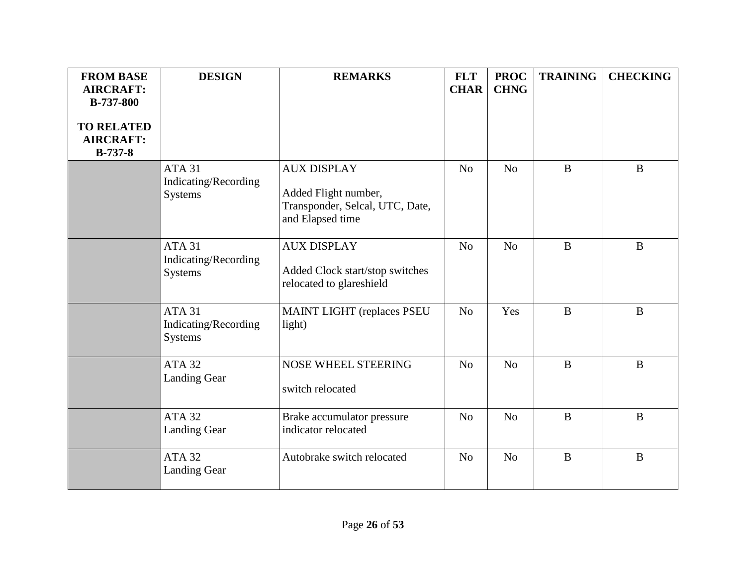| <b>FROM BASE</b><br><b>AIRCRAFT:</b><br><b>B-737-800</b><br><b>TO RELATED</b><br><b>AIRCRAFT:</b> | <b>DESIGN</b>                                               | <b>REMARKS</b>                                                                                    | <b>FLT</b><br><b>CHAR</b> | <b>PROC</b><br><b>CHNG</b> | <b>TRAINING</b> | <b>CHECKING</b> |
|---------------------------------------------------------------------------------------------------|-------------------------------------------------------------|---------------------------------------------------------------------------------------------------|---------------------------|----------------------------|-----------------|-----------------|
| <b>B-737-8</b>                                                                                    | ATA <sub>31</sub><br>Indicating/Recording<br><b>Systems</b> | <b>AUX DISPLAY</b><br>Added Flight number,<br>Transponder, Selcal, UTC, Date,<br>and Elapsed time | N <sub>o</sub>            | N <sub>o</sub>             | $\bf{B}$        | B               |
|                                                                                                   | <b>ATA 31</b><br>Indicating/Recording<br>Systems            | <b>AUX DISPLAY</b><br>Added Clock start/stop switches<br>relocated to glareshield                 | N <sub>o</sub>            | N <sub>o</sub>             | $\bf{B}$        | $\mathbf{B}$    |
|                                                                                                   | <b>ATA 31</b><br>Indicating/Recording<br><b>Systems</b>     | <b>MAINT LIGHT (replaces PSEU</b><br>light)                                                       | N <sub>o</sub>            | Yes                        | $\bf{B}$        | $\bf{B}$        |
|                                                                                                   | <b>ATA 32</b><br><b>Landing Gear</b>                        | <b>NOSE WHEEL STEERING</b><br>switch relocated                                                    | N <sub>o</sub>            | No                         | $\bf{B}$        | $\bf{B}$        |
|                                                                                                   | <b>ATA 32</b><br><b>Landing Gear</b>                        | Brake accumulator pressure<br>indicator relocated                                                 | N <sub>o</sub>            | N <sub>o</sub>             | $\bf{B}$        | $\bf{B}$        |
|                                                                                                   | <b>ATA 32</b><br><b>Landing Gear</b>                        | Autobrake switch relocated                                                                        | N <sub>o</sub>            | N <sub>o</sub>             | $\, {\bf B}$    | $\bf{B}$        |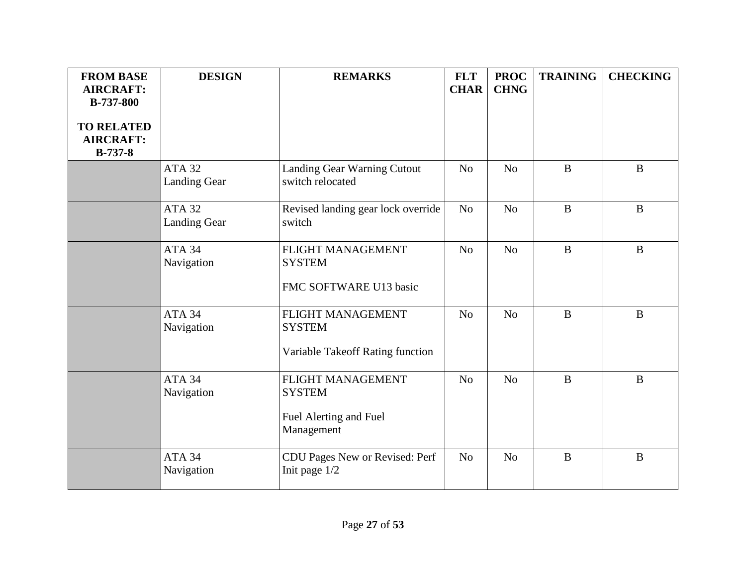| <b>FROM BASE</b><br><b>AIRCRAFT:</b><br><b>B-737-800</b> | <b>DESIGN</b>                        | <b>REMARKS</b>                                                             | <b>FLT</b><br><b>CHAR</b> | <b>PROC</b><br><b>CHNG</b> | <b>TRAINING</b> | <b>CHECKING</b> |
|----------------------------------------------------------|--------------------------------------|----------------------------------------------------------------------------|---------------------------|----------------------------|-----------------|-----------------|
| <b>TO RELATED</b><br><b>AIRCRAFT:</b><br><b>B-737-8</b>  |                                      |                                                                            |                           |                            |                 |                 |
|                                                          | <b>ATA 32</b><br><b>Landing Gear</b> | Landing Gear Warning Cutout<br>switch relocated                            | N <sub>0</sub>            | N <sub>o</sub>             | $\bf{B}$        | B               |
|                                                          | <b>ATA 32</b><br>Landing Gear        | Revised landing gear lock override<br>switch                               | N <sub>o</sub>            | N <sub>o</sub>             | $\overline{B}$  | $\mathbf{B}$    |
|                                                          | ATA 34<br>Navigation                 | FLIGHT MANAGEMENT<br><b>SYSTEM</b><br>FMC SOFTWARE U13 basic               | N <sub>o</sub>            | N <sub>o</sub>             | $\mathbf{B}$    | $\bf{B}$        |
|                                                          | ATA 34<br>Navigation                 | FLIGHT MANAGEMENT<br><b>SYSTEM</b><br>Variable Takeoff Rating function     | N <sub>o</sub>            | N <sub>o</sub>             | $\bf{B}$        | $\bf{B}$        |
|                                                          | ATA 34<br>Navigation                 | FLIGHT MANAGEMENT<br><b>SYSTEM</b><br>Fuel Alerting and Fuel<br>Management | N <sub>o</sub>            | N <sub>o</sub>             | $\bf{B}$        | B               |
|                                                          | ATA 34<br>Navigation                 | CDU Pages New or Revised: Perf<br>Init page 1/2                            | No                        | N <sub>o</sub>             | $\, {\bf B}$    | $\, {\bf B}$    |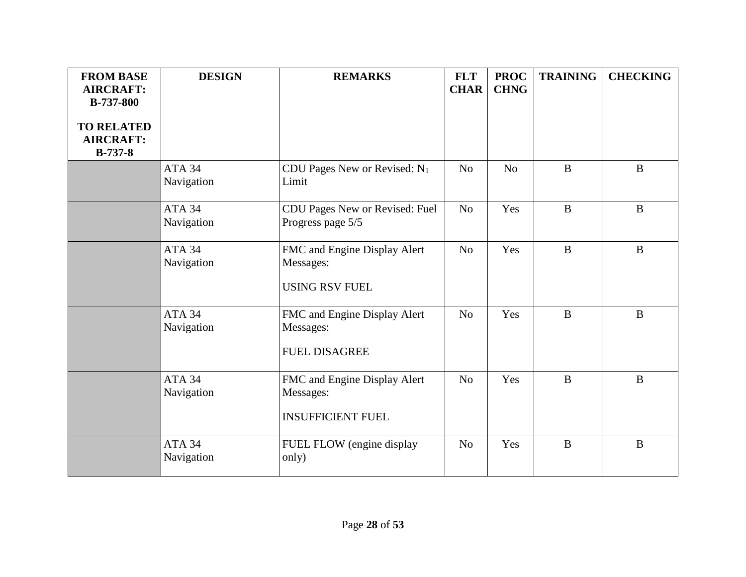| <b>FROM BASE</b><br><b>AIRCRAFT:</b><br><b>B-737-800</b> | <b>DESIGN</b>                   | <b>REMARKS</b>                                                        | <b>FLT</b><br><b>CHAR</b> | <b>PROC</b><br><b>CHNG</b> | <b>TRAINING</b> | <b>CHECKING</b> |
|----------------------------------------------------------|---------------------------------|-----------------------------------------------------------------------|---------------------------|----------------------------|-----------------|-----------------|
| <b>TO RELATED</b><br><b>AIRCRAFT:</b><br>$B-737-8$       |                                 |                                                                       |                           |                            |                 |                 |
|                                                          | ATA 34<br>Navigation            | CDU Pages New or Revised: $N_1$<br>Limit                              | N <sub>o</sub>            | N <sub>o</sub>             | $\bf{B}$        | B               |
|                                                          | ATA 34<br>Navigation            | CDU Pages New or Revised: Fuel<br>Progress page 5/5                   | N <sub>o</sub>            | Yes                        | $\mathbf{B}$    | $\mathbf{B}$    |
|                                                          | ATA <sub>34</sub><br>Navigation | FMC and Engine Display Alert<br>Messages:<br><b>USING RSV FUEL</b>    | N <sub>o</sub>            | Yes                        | $\mathbf{B}$    | $\mathbf{B}$    |
|                                                          | ATA 34<br>Navigation            | FMC and Engine Display Alert<br>Messages:<br><b>FUEL DISAGREE</b>     | N <sub>o</sub>            | Yes                        | $\mathbf{B}$    | $\mathbf{B}$    |
|                                                          | ATA 34<br>Navigation            | FMC and Engine Display Alert<br>Messages:<br><b>INSUFFICIENT FUEL</b> | N <sub>o</sub>            | Yes                        | $\mathbf{B}$    | $\mathbf{B}$    |
|                                                          | ATA 34<br>Navigation            | FUEL FLOW (engine display<br>only)                                    | N <sub>o</sub>            | Yes                        | $\mathbf{B}$    | B               |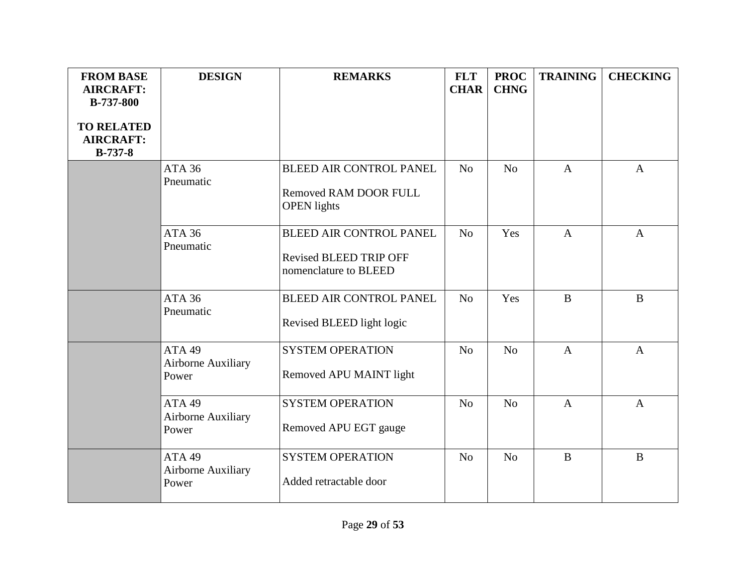| <b>FROM BASE</b><br><b>AIRCRAFT:</b>                    | <b>DESIGN</b>                       | <b>REMARKS</b>                                              | <b>FLT</b><br><b>CHAR</b> | <b>PROC</b><br><b>CHNG</b> | <b>TRAINING</b> | <b>CHECKING</b> |
|---------------------------------------------------------|-------------------------------------|-------------------------------------------------------------|---------------------------|----------------------------|-----------------|-----------------|
| <b>B-737-800</b>                                        |                                     |                                                             |                           |                            |                 |                 |
| <b>TO RELATED</b><br><b>AIRCRAFT:</b><br><b>B-737-8</b> |                                     |                                                             |                           |                            |                 |                 |
|                                                         | <b>ATA 36</b><br>Pneumatic          | <b>BLEED AIR CONTROL PANEL</b>                              | N <sub>o</sub>            | No                         | $\mathbf{A}$    | $\mathbf{A}$    |
|                                                         |                                     | Removed RAM DOOR FULL<br><b>OPEN</b> lights                 |                           |                            |                 |                 |
|                                                         | <b>ATA 36</b><br>Pneumatic          | <b>BLEED AIR CONTROL PANEL</b>                              | N <sub>o</sub>            | Yes                        | $\overline{A}$  | $\mathbf{A}$    |
|                                                         |                                     | <b>Revised BLEED TRIP OFF</b><br>nomenclature to BLEED      |                           |                            |                 |                 |
|                                                         | <b>ATA 36</b><br>Pneumatic          | <b>BLEED AIR CONTROL PANEL</b><br>Revised BLEED light logic | N <sub>o</sub>            | Yes                        | $\bf{B}$        | $\mathbf{B}$    |
|                                                         |                                     |                                                             |                           |                            |                 |                 |
|                                                         | ATA 49<br>Airborne Auxiliary        | <b>SYSTEM OPERATION</b>                                     | N <sub>o</sub>            | N <sub>o</sub>             | $\mathbf{A}$    | $\mathbf{A}$    |
|                                                         | Power                               | Removed APU MAINT light                                     |                           |                            |                 |                 |
|                                                         | ATA 49<br>Airborne Auxiliary        | <b>SYSTEM OPERATION</b>                                     | N <sub>o</sub>            | N <sub>o</sub>             | $\mathbf{A}$    | $\mathbf{A}$    |
|                                                         | Power                               | Removed APU EGT gauge                                       |                           |                            |                 |                 |
|                                                         | ATA 49<br><b>Airborne Auxiliary</b> | <b>SYSTEM OPERATION</b>                                     | N <sub>o</sub>            | N <sub>o</sub>             | $\mathbf{B}$    | $\bf{B}$        |
|                                                         | Power                               | Added retractable door                                      |                           |                            |                 |                 |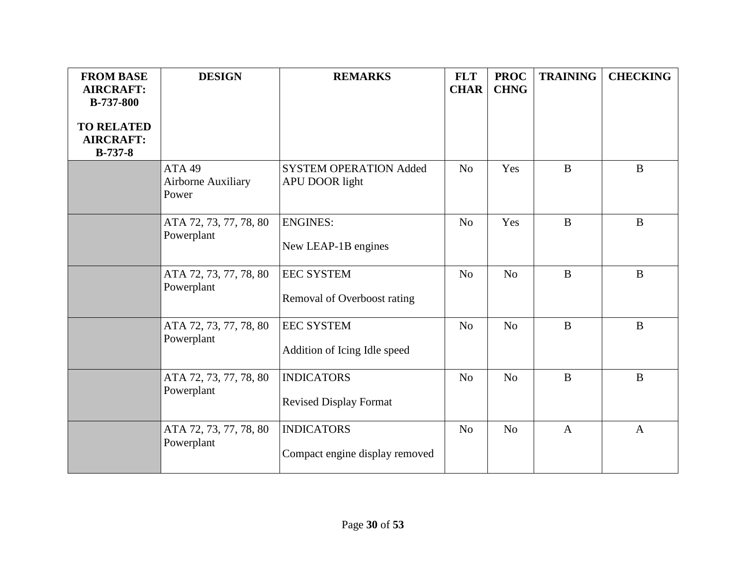| <b>FROM BASE</b><br><b>AIRCRAFT:</b><br><b>B-737-800</b><br><b>TO RELATED</b><br><b>AIRCRAFT:</b> | <b>DESIGN</b>                                | <b>REMARKS</b>                                      | <b>FLT</b><br><b>CHAR</b> | <b>PROC</b><br><b>CHNG</b> | <b>TRAINING</b> | <b>CHECKING</b> |
|---------------------------------------------------------------------------------------------------|----------------------------------------------|-----------------------------------------------------|---------------------------|----------------------------|-----------------|-----------------|
| $B-737-8$                                                                                         | ATA 49<br><b>Airborne Auxiliary</b><br>Power | <b>SYSTEM OPERATION Added</b><br>APU DOOR light     | N <sub>o</sub>            | Yes                        | B               | $\mathbf{B}$    |
|                                                                                                   | ATA 72, 73, 77, 78, 80<br>Powerplant         | <b>ENGINES:</b><br>New LEAP-1B engines              | N <sub>o</sub>            | Yes                        | $\bf{B}$        | $\bf{B}$        |
|                                                                                                   | ATA 72, 73, 77, 78, 80<br>Powerplant         | <b>EEC SYSTEM</b><br>Removal of Overboost rating    | N <sub>o</sub>            | N <sub>o</sub>             | $\bf{B}$        | $\mathbf{B}$    |
|                                                                                                   | ATA 72, 73, 77, 78, 80<br>Powerplant         | <b>EEC SYSTEM</b><br>Addition of Icing Idle speed   | N <sub>o</sub>            | N <sub>o</sub>             | $\mathbf{B}$    | $\mathbf{B}$    |
|                                                                                                   | ATA 72, 73, 77, 78, 80<br>Powerplant         | <b>INDICATORS</b><br><b>Revised Display Format</b>  | N <sub>o</sub>            | N <sub>o</sub>             | $\bf{B}$        | $\mathbf{B}$    |
|                                                                                                   | ATA 72, 73, 77, 78, 80<br>Powerplant         | <b>INDICATORS</b><br>Compact engine display removed | N <sub>o</sub>            | $\rm No$                   | $\overline{A}$  | $\overline{A}$  |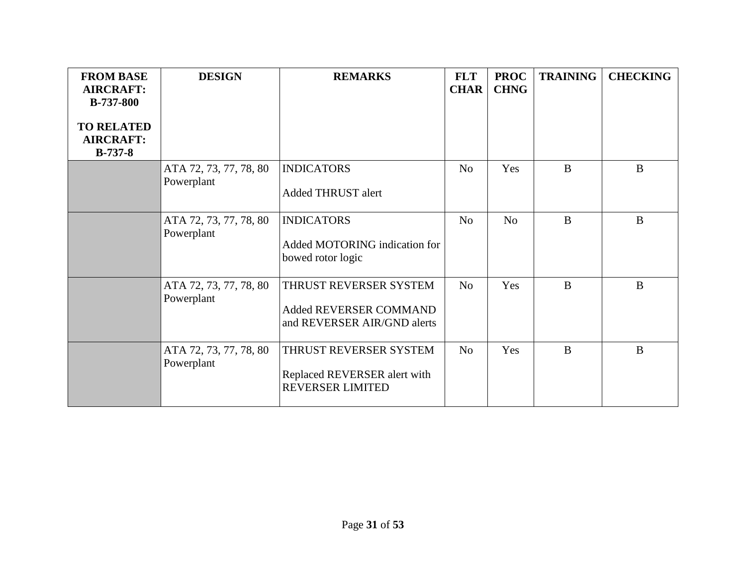| <b>FROM BASE</b><br><b>AIRCRAFT:</b><br><b>B-737-800</b><br><b>TO RELATED</b><br><b>AIRCRAFT:</b><br>$B-737-8$ | <b>DESIGN</b>                        | <b>REMARKS</b>                                                                    | <b>FLT</b><br><b>CHAR</b> | <b>PROC</b><br><b>CHNG</b> | <b>TRAINING</b> | <b>CHECKING</b> |
|----------------------------------------------------------------------------------------------------------------|--------------------------------------|-----------------------------------------------------------------------------------|---------------------------|----------------------------|-----------------|-----------------|
|                                                                                                                | ATA 72, 73, 77, 78, 80<br>Powerplant | <b>INDICATORS</b><br>Added THRUST alert                                           | N <sub>0</sub>            | Yes                        | B               | B               |
|                                                                                                                | ATA 72, 73, 77, 78, 80<br>Powerplant | <b>INDICATORS</b><br>Added MOTORING indication for<br>bowed rotor logic           | N <sub>o</sub>            | N <sub>o</sub>             | $\bf{B}$        | $\mathbf{B}$    |
|                                                                                                                | ATA 72, 73, 77, 78, 80<br>Powerplant | THRUST REVERSER SYSTEM<br>Added REVERSER COMMAND<br>and REVERSER AIR/GND alerts   | N <sub>o</sub>            | Yes                        | B               | $\mathbf{B}$    |
|                                                                                                                | ATA 72, 73, 77, 78, 80<br>Powerplant | THRUST REVERSER SYSTEM<br>Replaced REVERSER alert with<br><b>REVERSER LIMITED</b> | N <sub>o</sub>            | Yes                        | B               | B               |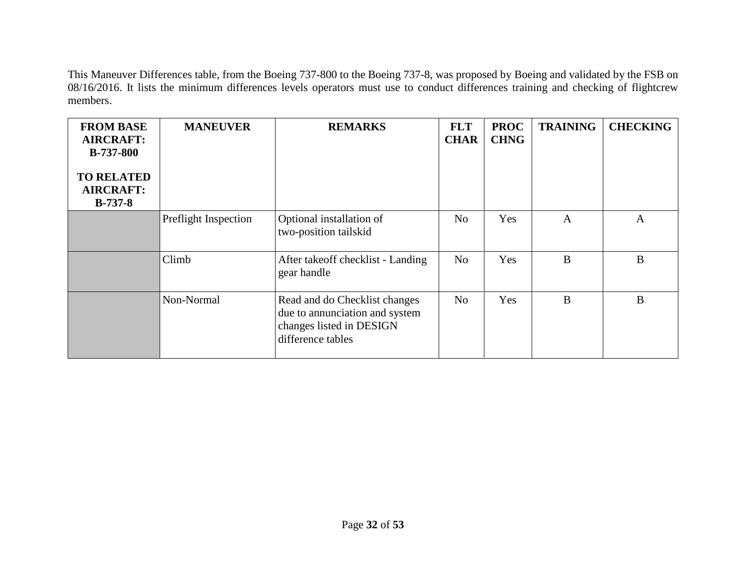This Maneuver Differences table, from the Boeing 737-800 to the Boeing 737-8, was proposed by Boeing and validated by the FSB on 08/16/2016. It lists the minimum differences levels operators must use to conduct differences training and checking of flightcrew members.

| <b>FROM BASE</b><br><b>AIRCRAFT:</b><br><b>B-737-800</b><br><b>TO RELATED</b><br><b>AIRCRAFT:</b><br>$B-737-8$ | <b>MANEUVER</b>      | <b>REMARKS</b>                                                                                                   | <b>FLT</b><br><b>CHAR</b> | <b>PROC</b><br><b>CHNG</b> | <b>TRAINING</b> | <b>CHECKING</b> |
|----------------------------------------------------------------------------------------------------------------|----------------------|------------------------------------------------------------------------------------------------------------------|---------------------------|----------------------------|-----------------|-----------------|
|                                                                                                                | Preflight Inspection | Optional installation of<br>two-position tailskid                                                                | N <sub>o</sub>            | Yes                        | $\overline{A}$  | A               |
|                                                                                                                | Climb                | After takeoff checklist - Landing<br>gear handle                                                                 | N <sub>o</sub>            | Yes                        | B               | $\bf{B}$        |
|                                                                                                                | Non-Normal           | Read and do Checklist changes<br>due to annunciation and system<br>changes listed in DESIGN<br>difference tables | N <sub>o</sub>            | Yes                        | B               | B               |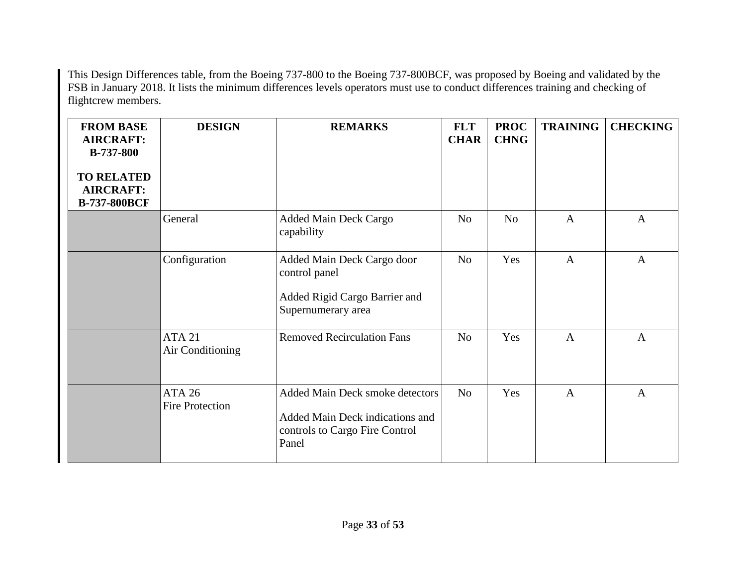This Design Differences table, from the Boeing 737-800 to the Boeing 737-800BCF, was proposed by Boeing and validated by the FSB in January 2018. It lists the minimum differences levels operators must use to conduct differences training and checking of flightcrew members.

| <b>FROM BASE</b><br><b>AIRCRAFT:</b><br><b>B-737-800</b><br><b>TO RELATED</b><br><b>AIRCRAFT:</b><br><b>B-737-800BCF</b> | <b>DESIGN</b>                           | <b>REMARKS</b>                                                                                                | <b>FLT</b><br><b>CHAR</b> | <b>PROC</b><br><b>CHNG</b> | <b>TRAINING</b> | <b>CHECKING</b> |
|--------------------------------------------------------------------------------------------------------------------------|-----------------------------------------|---------------------------------------------------------------------------------------------------------------|---------------------------|----------------------------|-----------------|-----------------|
|                                                                                                                          | General                                 | <b>Added Main Deck Cargo</b><br>capability                                                                    | N <sub>o</sub>            | N <sub>o</sub>             | $\mathbf{A}$    | $\mathbf{A}$    |
|                                                                                                                          | Configuration                           | Added Main Deck Cargo door<br>control panel<br>Added Rigid Cargo Barrier and<br>Supernumerary area            | N <sub>o</sub>            | Yes                        | $\overline{A}$  | $\overline{A}$  |
|                                                                                                                          | <b>ATA 21</b><br>Air Conditioning       | <b>Removed Recirculation Fans</b>                                                                             | N <sub>o</sub>            | Yes                        | $\mathbf{A}$    | $\mathbf{A}$    |
|                                                                                                                          | <b>ATA 26</b><br><b>Fire Protection</b> | Added Main Deck smoke detectors<br>Added Main Deck indications and<br>controls to Cargo Fire Control<br>Panel | N <sub>o</sub>            | Yes                        | $\overline{A}$  | $\mathbf{A}$    |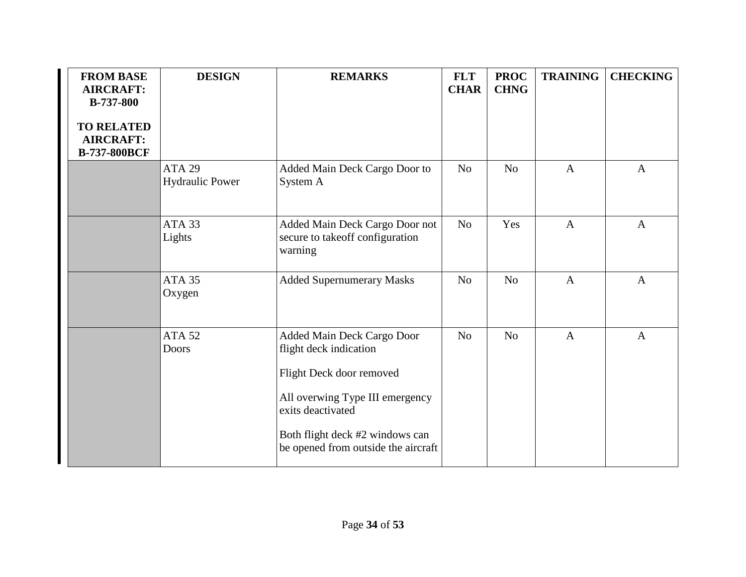| <b>FROM BASE</b><br><b>AIRCRAFT:</b><br><b>B-737-800</b>     | <b>DESIGN</b>                           | <b>REMARKS</b>                                                                                                                                                                                                     | <b>FLT</b><br><b>CHAR</b> | <b>PROC</b><br><b>CHNG</b> | <b>TRAINING</b> | <b>CHECKING</b> |
|--------------------------------------------------------------|-----------------------------------------|--------------------------------------------------------------------------------------------------------------------------------------------------------------------------------------------------------------------|---------------------------|----------------------------|-----------------|-----------------|
| <b>TO RELATED</b><br><b>AIRCRAFT:</b><br><b>B-737-800BCF</b> |                                         |                                                                                                                                                                                                                    |                           |                            |                 |                 |
|                                                              | <b>ATA 29</b><br><b>Hydraulic Power</b> | Added Main Deck Cargo Door to<br>System A                                                                                                                                                                          | No                        | N <sub>o</sub>             | $\overline{A}$  | $\mathbf{A}$    |
|                                                              | ATA <sub>33</sub><br>Lights             | Added Main Deck Cargo Door not<br>secure to takeoff configuration<br>warning                                                                                                                                       | N <sub>o</sub>            | Yes                        | $\mathbf{A}$    | $\mathbf{A}$    |
|                                                              | <b>ATA 35</b><br>Oxygen                 | <b>Added Supernumerary Masks</b>                                                                                                                                                                                   | No                        | No                         | $\mathbf{A}$    | $\mathbf{A}$    |
|                                                              | <b>ATA 52</b><br><b>Doors</b>           | Added Main Deck Cargo Door<br>flight deck indication<br>Flight Deck door removed<br>All overwing Type III emergency<br>exits deactivated<br>Both flight deck #2 windows can<br>be opened from outside the aircraft | N <sub>o</sub>            | N <sub>o</sub>             | $\overline{A}$  | $\mathbf{A}$    |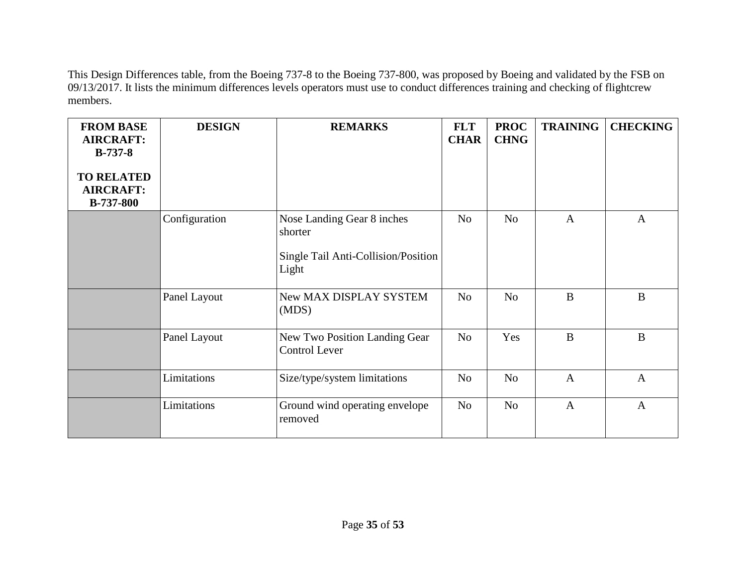This Design Differences table, from the Boeing 737-8 to the Boeing 737-800, was proposed by Boeing and validated by the FSB on 09/13/2017. It lists the minimum differences levels operators must use to conduct differences training and checking of flightcrew members.

| <b>FROM BASE</b><br><b>AIRCRAFT:</b><br>$B-737-8$<br><b>TO RELATED</b><br><b>AIRCRAFT:</b><br><b>B-737-800</b> | <b>DESIGN</b> | <b>REMARKS</b>                                                                        | <b>FLT</b><br><b>CHAR</b> | <b>PROC</b><br><b>CHNG</b> | <b>TRAINING</b> | <b>CHECKING</b> |
|----------------------------------------------------------------------------------------------------------------|---------------|---------------------------------------------------------------------------------------|---------------------------|----------------------------|-----------------|-----------------|
|                                                                                                                | Configuration | Nose Landing Gear 8 inches<br>shorter<br>Single Tail Anti-Collision/Position<br>Light | N <sub>o</sub>            | N <sub>o</sub>             | $\mathbf{A}$    | $\mathbf{A}$    |
|                                                                                                                | Panel Layout  | New MAX DISPLAY SYSTEM<br>(MDS)                                                       | N <sub>o</sub>            | N <sub>o</sub>             | $\bf{B}$        | $\bf{B}$        |
|                                                                                                                | Panel Layout  | New Two Position Landing Gear<br><b>Control Lever</b>                                 | N <sub>o</sub>            | Yes                        | $\, {\bf B}$    | $\bf{B}$        |
|                                                                                                                | Limitations   | Size/type/system limitations                                                          | N <sub>o</sub>            | N <sub>o</sub>             | $\overline{A}$  | $\overline{A}$  |
|                                                                                                                | Limitations   | Ground wind operating envelope<br>removed                                             | N <sub>o</sub>            | N <sub>o</sub>             | $\mathbf{A}$    | $\mathbf{A}$    |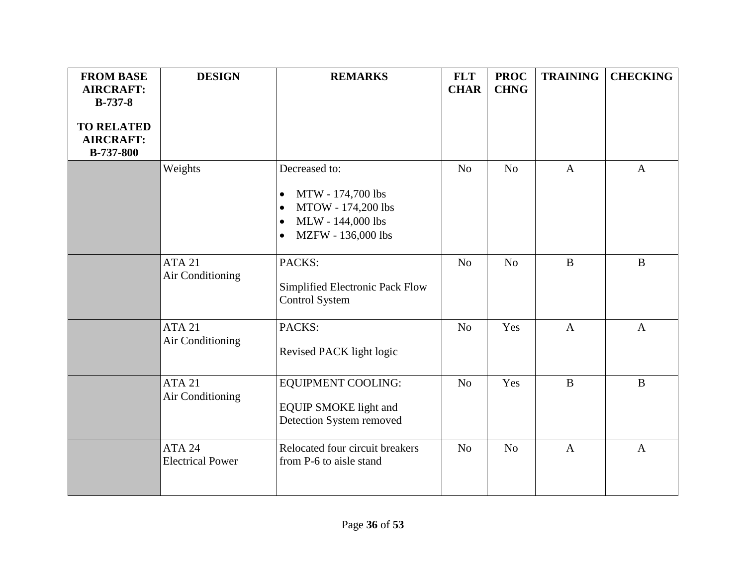| <b>FROM BASE</b><br><b>AIRCRAFT:</b><br>$B-737-8$         | <b>DESIGN</b>                            | <b>REMARKS</b>                                                                                                                                          | <b>FLT</b><br><b>CHAR</b> | <b>PROC</b><br><b>CHNG</b> | <b>TRAINING</b> | <b>CHECKING</b> |
|-----------------------------------------------------------|------------------------------------------|---------------------------------------------------------------------------------------------------------------------------------------------------------|---------------------------|----------------------------|-----------------|-----------------|
| <b>TO RELATED</b><br><b>AIRCRAFT:</b><br><b>B-737-800</b> |                                          |                                                                                                                                                         |                           |                            |                 |                 |
|                                                           | Weights                                  | Decreased to:<br>MTW - 174,700 lbs<br>$\bullet$<br>MTOW - 174,200 lbs<br>$\bullet$<br>MLW - 144,000 lbs<br>$\bullet$<br>MZFW - 136,000 lbs<br>$\bullet$ | N <sub>o</sub>            | N <sub>o</sub>             | $\mathbf{A}$    | $\mathbf{A}$    |
|                                                           | <b>ATA 21</b><br>Air Conditioning        | PACKS:<br>Simplified Electronic Pack Flow<br><b>Control System</b>                                                                                      | N <sub>o</sub>            | N <sub>o</sub>             | $\, {\bf B}$    | $\mathbf B$     |
|                                                           | <b>ATA 21</b><br>Air Conditioning        | PACKS:<br>Revised PACK light logic                                                                                                                      | N <sub>o</sub>            | Yes                        | $\mathbf{A}$    | $\mathbf{A}$    |
|                                                           | <b>ATA 21</b><br>Air Conditioning        | EQUIPMENT COOLING:<br><b>EQUIP SMOKE light and</b><br>Detection System removed                                                                          | N <sub>o</sub>            | Yes                        | $\, {\bf B}$    | $\, {\bf B}$    |
|                                                           | <b>ATA 24</b><br><b>Electrical Power</b> | Relocated four circuit breakers<br>from P-6 to aisle stand                                                                                              | N <sub>o</sub>            | N <sub>o</sub>             | $\overline{A}$  | $\mathbf{A}$    |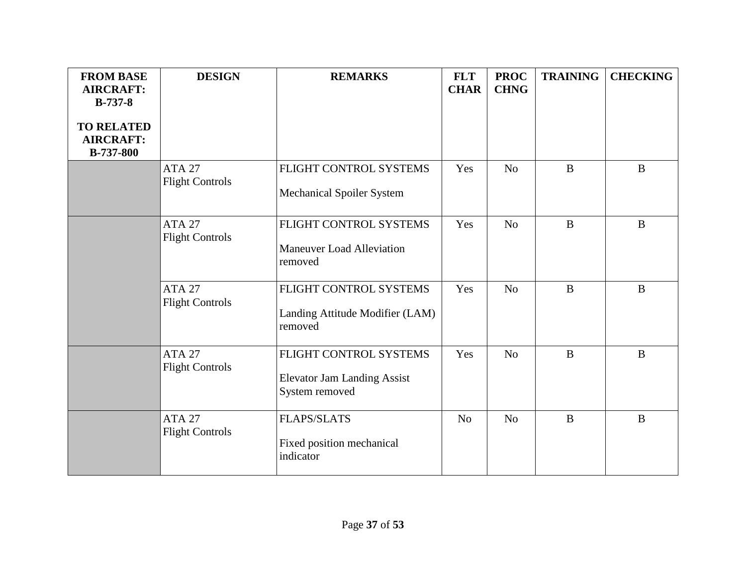| <b>FROM BASE</b><br><b>AIRCRAFT:</b><br>$B-737-8$         | <b>DESIGN</b>                               | <b>REMARKS</b>                                                                 | <b>FLT</b><br><b>CHAR</b> | <b>PROC</b><br><b>CHNG</b> | <b>TRAINING</b> | <b>CHECKING</b> |
|-----------------------------------------------------------|---------------------------------------------|--------------------------------------------------------------------------------|---------------------------|----------------------------|-----------------|-----------------|
| <b>TO RELATED</b><br><b>AIRCRAFT:</b><br><b>B-737-800</b> |                                             |                                                                                |                           |                            |                 |                 |
|                                                           | ATA <sub>27</sub><br><b>Flight Controls</b> | FLIGHT CONTROL SYSTEMS<br><b>Mechanical Spoiler System</b>                     | Yes                       | N <sub>0</sub>             | $\mathbf{B}$    | B               |
|                                                           | ATA 27<br><b>Flight Controls</b>            | FLIGHT CONTROL SYSTEMS<br><b>Maneuver Load Alleviation</b><br>removed          | Yes                       | N <sub>o</sub>             | $\mathbf{B}$    | $\bf{B}$        |
|                                                           | <b>ATA 27</b><br><b>Flight Controls</b>     | FLIGHT CONTROL SYSTEMS<br>Landing Attitude Modifier (LAM)<br>removed           | Yes                       | N <sub>o</sub>             | $\mathbf{B}$    | B               |
|                                                           | <b>ATA 27</b><br><b>Flight Controls</b>     | FLIGHT CONTROL SYSTEMS<br><b>Elevator Jam Landing Assist</b><br>System removed | Yes                       | N <sub>o</sub>             | $\bf{B}$        | B               |
|                                                           | <b>ATA 27</b><br><b>Flight Controls</b>     | <b>FLAPS/SLATS</b><br>Fixed position mechanical<br>indicator                   | N <sub>0</sub>            | N <sub>o</sub>             | $\bf{B}$        | B               |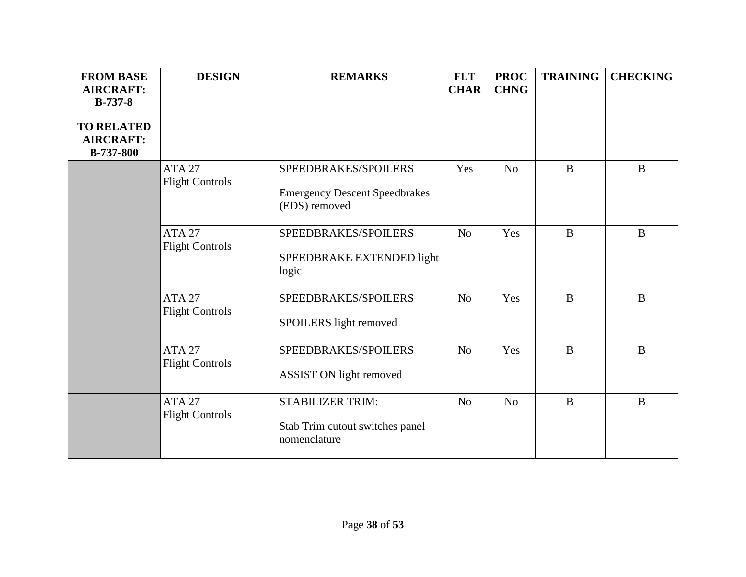| <b>FROM BASE</b><br><b>AIRCRAFT:</b><br>$B-737-8$<br><b>TO RELATED</b><br><b>AIRCRAFT:</b><br><b>B-737-800</b> | <b>DESIGN</b>                           | <b>REMARKS</b>                                                                | <b>FLT</b><br><b>CHAR</b> | <b>PROC</b><br><b>CHNG</b> | <b>TRAINING</b> | <b>CHECKING</b> |
|----------------------------------------------------------------------------------------------------------------|-----------------------------------------|-------------------------------------------------------------------------------|---------------------------|----------------------------|-----------------|-----------------|
|                                                                                                                | <b>ATA 27</b><br><b>Flight Controls</b> | SPEEDBRAKES/SPOILERS<br><b>Emergency Descent Speedbrakes</b><br>(EDS) removed | Yes                       | N <sub>o</sub>             | $\mathbf{B}$    | $\mathbf{B}$    |
|                                                                                                                | <b>ATA 27</b><br><b>Flight Controls</b> | SPEEDBRAKES/SPOILERS<br>SPEEDBRAKE EXTENDED light<br>logic                    | N <sub>o</sub>            | Yes                        | $\mathbf{B}$    | B               |
|                                                                                                                | <b>ATA 27</b><br><b>Flight Controls</b> | SPEEDBRAKES/SPOILERS<br>SPOILERS light removed                                | N <sub>o</sub>            | Yes                        | $\mathbf{B}$    | B               |
|                                                                                                                | <b>ATA 27</b><br><b>Flight Controls</b> | SPEEDBRAKES/SPOILERS<br><b>ASSIST ON light removed</b>                        | N <sub>o</sub>            | Yes                        | $\mathbf{B}$    | B               |
|                                                                                                                | <b>ATA 27</b><br><b>Flight Controls</b> | <b>STABILIZER TRIM:</b><br>Stab Trim cutout switches panel<br>nomenclature    | N <sub>o</sub>            | N <sub>o</sub>             | $\mathbf{B}$    | $\bf{B}$        |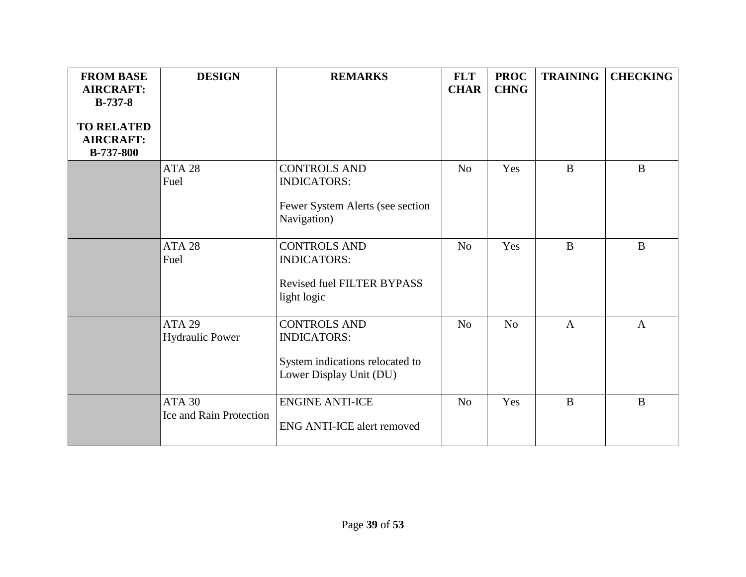| <b>FROM BASE</b><br><b>AIRCRAFT:</b><br>$B-737-8$<br><b>TO RELATED</b><br><b>AIRCRAFT:</b><br><b>B-737-800</b> | <b>DESIGN</b>                                   | <b>REMARKS</b>                                                                                          | <b>FLT</b><br><b>CHAR</b> | <b>PROC</b><br><b>CHNG</b> | <b>TRAINING</b> | <b>CHECKING</b> |
|----------------------------------------------------------------------------------------------------------------|-------------------------------------------------|---------------------------------------------------------------------------------------------------------|---------------------------|----------------------------|-----------------|-----------------|
|                                                                                                                | ATA <sub>28</sub><br>Fuel                       | <b>CONTROLS AND</b><br><b>INDICATORS:</b><br>Fewer System Alerts (see section<br>Navigation)            | N <sub>o</sub>            | Yes                        | $\mathbf{B}$    | $\mathbf{B}$    |
|                                                                                                                | ATA <sub>28</sub><br>Fuel                       | <b>CONTROLS AND</b><br><b>INDICATORS:</b><br><b>Revised fuel FILTER BYPASS</b><br>light logic           | N <sub>o</sub>            | Yes                        | $\mathbf{B}$    | $\mathbf{B}$    |
|                                                                                                                | <b>ATA 29</b><br><b>Hydraulic Power</b>         | <b>CONTROLS AND</b><br><b>INDICATORS:</b><br>System indications relocated to<br>Lower Display Unit (DU) | No                        | N <sub>o</sub>             | $\mathbf{A}$    | $\mathbf{A}$    |
|                                                                                                                | <b>ATA 30</b><br><b>Ice and Rain Protection</b> | <b>ENGINE ANTI-ICE</b><br><b>ENG ANTI-ICE alert removed</b>                                             | N <sub>o</sub>            | Yes                        | $\bf{B}$        | $\mathbf B$     |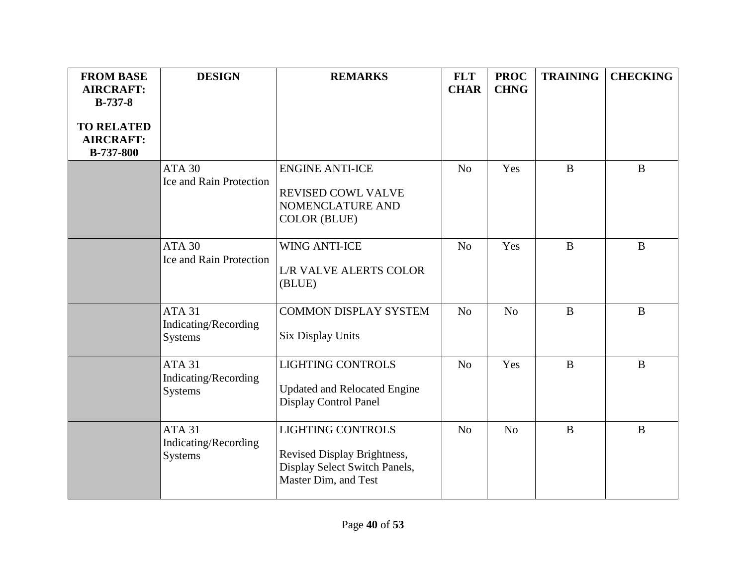| <b>FROM BASE</b><br><b>AIRCRAFT:</b><br>$B-737-8$         | <b>DESIGN</b>                                    | <b>REMARKS</b>                                                                                                   | <b>FLT</b><br><b>CHAR</b> | <b>PROC</b><br><b>CHNG</b> | <b>TRAINING</b> | <b>CHECKING</b> |
|-----------------------------------------------------------|--------------------------------------------------|------------------------------------------------------------------------------------------------------------------|---------------------------|----------------------------|-----------------|-----------------|
| <b>TO RELATED</b><br><b>AIRCRAFT:</b><br><b>B-737-800</b> |                                                  |                                                                                                                  |                           |                            |                 |                 |
|                                                           | <b>ATA 30</b><br>Ice and Rain Protection         | <b>ENGINE ANTI-ICE</b><br>REVISED COWL VALVE<br>NOMENCLATURE AND<br><b>COLOR (BLUE)</b>                          | N <sub>o</sub>            | Yes                        | $\mathbf{B}$    | $\mathbf{B}$    |
|                                                           | <b>ATA 30</b><br>Ice and Rain Protection         | <b>WING ANTI-ICE</b><br><b>L/R VALVE ALERTS COLOR</b><br>(BLUE)                                                  | N <sub>o</sub>            | Yes                        | $\bf{B}$        | $\mathbf{B}$    |
|                                                           | ATA31<br>Indicating/Recording<br>Systems         | <b>COMMON DISPLAY SYSTEM</b><br><b>Six Display Units</b>                                                         | N <sub>o</sub>            | N <sub>0</sub>             | $\bf{B}$        | B               |
|                                                           | <b>ATA 31</b><br>Indicating/Recording<br>Systems | <b>LIGHTING CONTROLS</b><br><b>Updated and Relocated Engine</b><br><b>Display Control Panel</b>                  | N <sub>o</sub>            | Yes                        | $\mathbf{B}$    | $\mathbf{B}$    |
|                                                           | <b>ATA 31</b><br>Indicating/Recording<br>Systems | <b>LIGHTING CONTROLS</b><br>Revised Display Brightness,<br>Display Select Switch Panels,<br>Master Dim, and Test | N <sub>o</sub>            | N <sub>o</sub>             | B               | B               |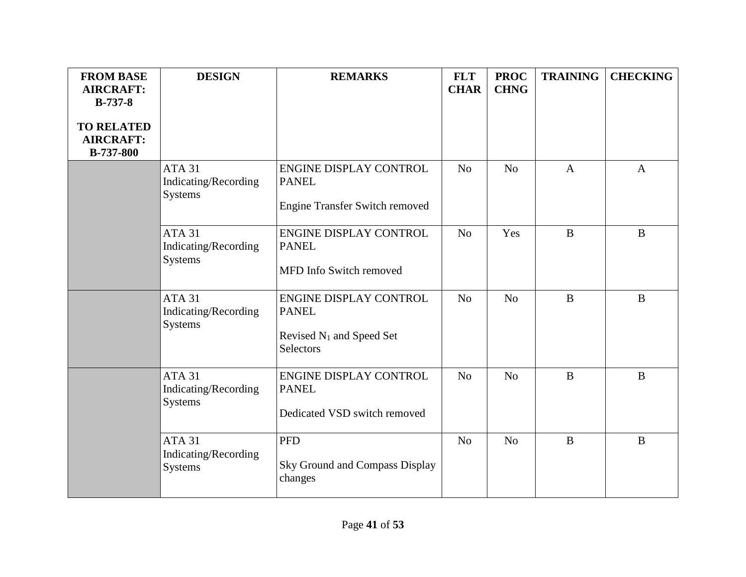| <b>FROM BASE</b><br><b>AIRCRAFT:</b>                                   | <b>DESIGN</b>                                           | <b>REMARKS</b>                                                                              | <b>FLT</b><br><b>CHAR</b> | <b>PROC</b><br><b>CHNG</b> | <b>TRAINING</b> | <b>CHECKING</b> |
|------------------------------------------------------------------------|---------------------------------------------------------|---------------------------------------------------------------------------------------------|---------------------------|----------------------------|-----------------|-----------------|
| $B-737-8$<br><b>TO RELATED</b><br><b>AIRCRAFT:</b><br><b>B-737-800</b> |                                                         |                                                                                             |                           |                            |                 |                 |
|                                                                        | ATA 31<br>Indicating/Recording<br><b>Systems</b>        | ENGINE DISPLAY CONTROL<br><b>PANEL</b><br><b>Engine Transfer Switch removed</b>             | N <sub>o</sub>            | N <sub>o</sub>             | $\mathbf{A}$    | $\mathbf{A}$    |
|                                                                        | <b>ATA 31</b><br>Indicating/Recording<br><b>Systems</b> | ENGINE DISPLAY CONTROL<br><b>PANEL</b><br>MFD Info Switch removed                           | N <sub>o</sub>            | Yes                        | $\bf{B}$        | $\bf{B}$        |
|                                                                        | <b>ATA 31</b><br>Indicating/Recording<br>Systems        | ENGINE DISPLAY CONTROL<br><b>PANEL</b><br>Revised N <sub>1</sub> and Speed Set<br>Selectors | N <sub>o</sub>            | N <sub>o</sub>             | $\bf{B}$        | $\bf{B}$        |
|                                                                        | <b>ATA 31</b><br>Indicating/Recording<br><b>Systems</b> | ENGINE DISPLAY CONTROL<br><b>PANEL</b><br>Dedicated VSD switch removed                      | N <sub>o</sub>            | N <sub>o</sub>             | $\bf{B}$        | $\bf{B}$        |
|                                                                        | <b>ATA 31</b><br>Indicating/Recording<br>Systems        | <b>PFD</b><br>Sky Ground and Compass Display<br>changes                                     | N <sub>o</sub>            | N <sub>o</sub>             | $\bf{B}$        | B               |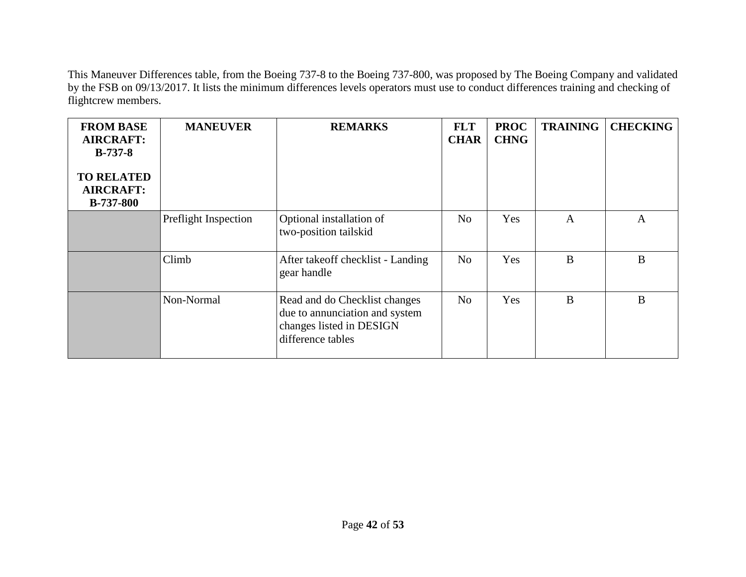This Maneuver Differences table, from the Boeing 737-8 to the Boeing 737-800, was proposed by The Boeing Company and validated by the FSB on 09/13/2017. It lists the minimum differences levels operators must use to conduct differences training and checking of flightcrew members.

| <b>FROM BASE</b><br><b>AIRCRAFT:</b><br>$B-737-8$<br><b>TO RELATED</b><br><b>AIRCRAFT:</b><br><b>B-737-800</b> | <b>MANEUVER</b>      | <b>REMARKS</b>                                                                                                   | <b>FLT</b><br><b>CHAR</b> | <b>PROC</b><br><b>CHNG</b> | <b>TRAINING</b> | <b>CHECKING</b> |
|----------------------------------------------------------------------------------------------------------------|----------------------|------------------------------------------------------------------------------------------------------------------|---------------------------|----------------------------|-----------------|-----------------|
|                                                                                                                | Preflight Inspection | Optional installation of<br>two-position tailskid                                                                | N <sub>o</sub>            | Yes                        | $\mathbf{A}$    | $\mathbf{A}$    |
|                                                                                                                | Climb                | After takeoff checklist - Landing<br>gear handle                                                                 | N <sub>o</sub>            | Yes                        | B               | B               |
|                                                                                                                | Non-Normal           | Read and do Checklist changes<br>due to annunciation and system<br>changes listed in DESIGN<br>difference tables | N <sub>o</sub>            | Yes                        | B               | $\bf{B}$        |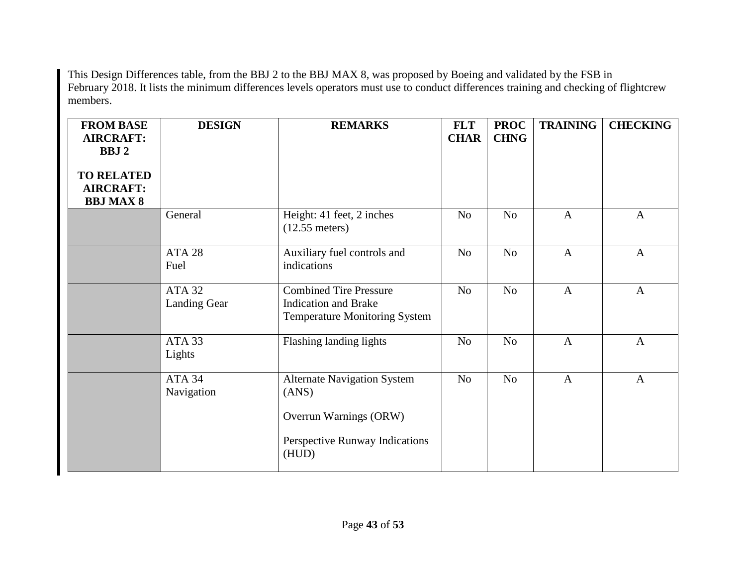This Design Differences table, from the BBJ 2 to the BBJ MAX 8, was proposed by Boeing and validated by the FSB in February 2018. It lists the minimum differences levels operators must use to conduct differences training and checking of flightcrew members.

| <b>FROM BASE</b><br><b>AIRCRAFT:</b><br><b>BBJ2</b><br><b>TO RELATED</b><br><b>AIRCRAFT:</b><br><b>BBJ MAX 8</b> | <b>DESIGN</b>                     | <b>REMARKS</b>                                                                                                         | <b>FLT</b><br><b>CHAR</b>        | <b>PROC</b><br><b>CHNG</b> | <b>TRAINING</b> | <b>CHECKING</b> |
|------------------------------------------------------------------------------------------------------------------|-----------------------------------|------------------------------------------------------------------------------------------------------------------------|----------------------------------|----------------------------|-----------------|-----------------|
|                                                                                                                  | General                           | Height: 41 feet, 2 inches<br>$(12.55$ meters)                                                                          | N <sub>o</sub>                   | N <sub>o</sub>             | $\mathbf{A}$    | $\mathbf{A}$    |
|                                                                                                                  | ATA 28<br>Fuel                    | Auxiliary fuel controls and<br>indications                                                                             | No                               | N <sub>o</sub>             | $\mathbf{A}$    | $\mathbf{A}$    |
|                                                                                                                  | ATA <sub>32</sub><br>Landing Gear | <b>Combined Tire Pressure</b><br>N <sub>o</sub><br><b>Indication and Brake</b><br><b>Temperature Monitoring System</b> |                                  | No                         | $\mathbf{A}$    | $\mathbf{A}$    |
|                                                                                                                  | ATA 33<br>Lights                  | Flashing landing lights                                                                                                | N <sub>o</sub><br>N <sub>o</sub> |                            | $\mathbf{A}$    | $\mathbf{A}$    |
|                                                                                                                  | ATA 34<br>Navigation              | <b>Alternate Navigation System</b><br>(ANS)<br>Overrun Warnings (ORW)<br>Perspective Runway Indications<br>(HUD)       | N <sub>o</sub>                   | No                         | $\mathbf{A}$    | $\mathbf{A}$    |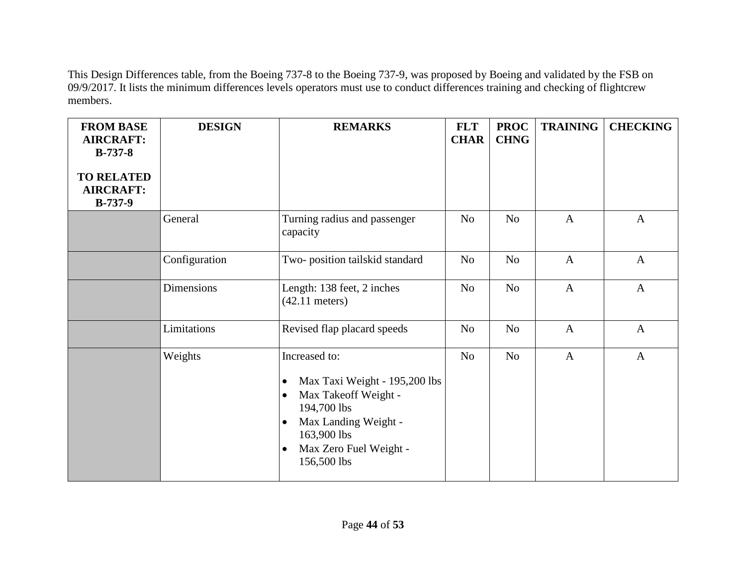This Design Differences table, from the Boeing 737-8 to the Boeing 737-9, was proposed by Boeing and validated by the FSB on 09/9/2017. It lists the minimum differences levels operators must use to conduct differences training and checking of flightcrew members.

| <b>FROM BASE</b><br><b>AIRCRAFT:</b><br>$B-737-8$  | <b>DESIGN</b> | <b>REMARKS</b><br><b>FLT</b><br><b>CHAR</b>                                                                                                                                                                               |                | <b>PROC</b><br><b>CHNG</b> | <b>TRAINING</b> | <b>CHECKING</b> |
|----------------------------------------------------|---------------|---------------------------------------------------------------------------------------------------------------------------------------------------------------------------------------------------------------------------|----------------|----------------------------|-----------------|-----------------|
| <b>TO RELATED</b><br><b>AIRCRAFT:</b><br>$B-737-9$ |               |                                                                                                                                                                                                                           |                |                            |                 |                 |
|                                                    | General       | Turning radius and passenger<br>capacity                                                                                                                                                                                  | N <sub>o</sub> | No                         | $\mathbf{A}$    | $\mathbf{A}$    |
|                                                    | Configuration | Two-position tailskid standard                                                                                                                                                                                            | N <sub>o</sub> | N <sub>o</sub>             | $\mathbf{A}$    | $\mathbf{A}$    |
|                                                    | Dimensions    | Length: 138 feet, 2 inches<br>$(42.11$ meters)                                                                                                                                                                            | N <sub>o</sub> | No                         | $\mathbf{A}$    | $\mathbf{A}$    |
|                                                    | Limitations   | Revised flap placard speeds                                                                                                                                                                                               | N <sub>o</sub> | N <sub>o</sub>             | $\mathbf{A}$    | $\mathbf{A}$    |
|                                                    | Weights       | Increased to:<br>Max Taxi Weight - 195,200 lbs<br>$\bullet$<br>Max Takeoff Weight -<br>$\bullet$<br>194,700 lbs<br>Max Landing Weight -<br>$\bullet$<br>163,900 lbs<br>Max Zero Fuel Weight -<br>$\bullet$<br>156,500 lbs | N <sub>o</sub> | No                         | $\mathbf{A}$    | $\mathbf{A}$    |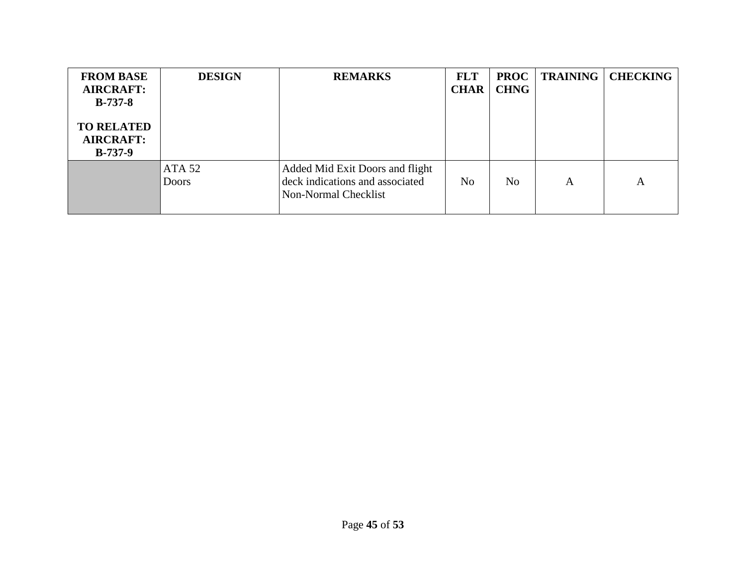| <b>FROM BASE</b><br><b>AIRCRAFT:</b><br>$B-737-8$<br><b>TO RELATED</b><br><b>AIRCRAFT:</b><br>$B-737-9$ | <b>DESIGN</b>          | <b>REMARKS</b>                                                                             | <b>FLT</b><br><b>CHAR</b> | <b>PROC</b><br><b>CHNG</b> | <b>TRAINING</b> | <b>CHECKING</b> |
|---------------------------------------------------------------------------------------------------------|------------------------|--------------------------------------------------------------------------------------------|---------------------------|----------------------------|-----------------|-----------------|
|                                                                                                         | ATA 52<br><b>Doors</b> | Added Mid Exit Doors and flight<br>deck indications and associated<br>Non-Normal Checklist | N <sub>0</sub>            | N <sub>o</sub>             | A               | A               |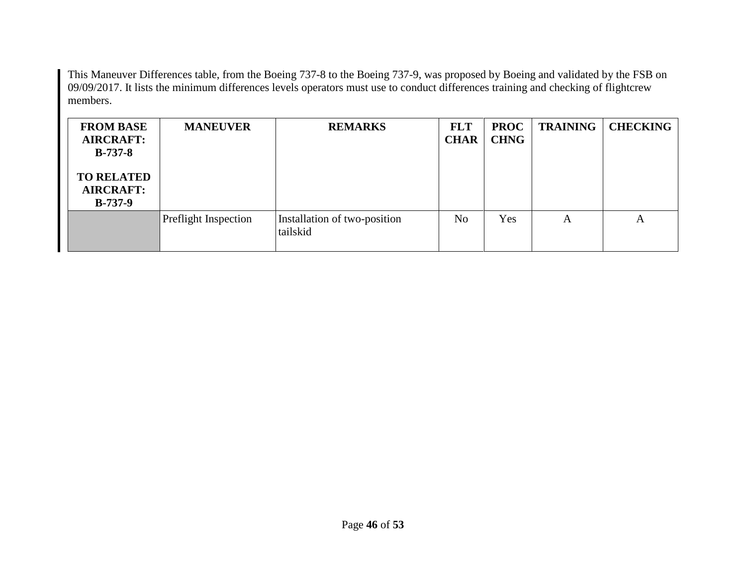This Maneuver Differences table, from the Boeing 737-8 to the Boeing 737-9, was proposed by Boeing and validated by the FSB on 09/09/2017. It lists the minimum differences levels operators must use to conduct differences training and checking of flightcrew members.

| <b>FROM BASE</b><br><b>AIRCRAFT:</b><br>$B-737-8$  | <b>MANEUVER</b>             | <b>REMARKS</b>                           | <b>FLT</b><br><b>CHAR</b> | <b>PROC</b><br><b>CHNG</b> | <b>TRAINING</b> | <b>CHECKING</b> |
|----------------------------------------------------|-----------------------------|------------------------------------------|---------------------------|----------------------------|-----------------|-----------------|
| <b>TO RELATED</b><br><b>AIRCRAFT:</b><br>$B-737-9$ |                             |                                          |                           |                            |                 |                 |
|                                                    | <b>Preflight Inspection</b> | Installation of two-position<br>tailskid | N <sub>o</sub>            | Yes                        | А               | A               |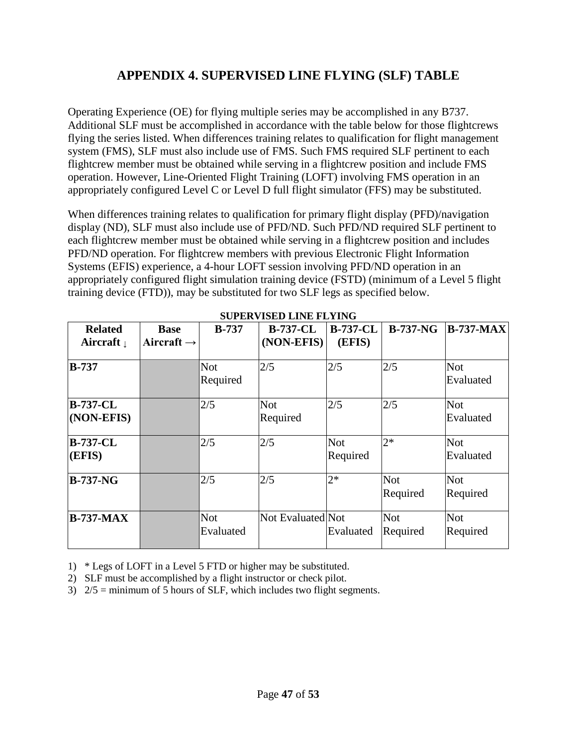## **APPENDIX 4. SUPERVISED LINE FLYING (SLF) TABLE**

<span id="page-46-0"></span>Operating Experience (OE) for flying multiple series may be accomplished in any B737. Additional SLF must be accomplished in accordance with the table below for those flightcrews flying the series listed. When differences training relates to qualification for flight management system (FMS), SLF must also include use of FMS. Such FMS required SLF pertinent to each flightcrew member must be obtained while serving in a flightcrew position and include FMS operation. However, Line-Oriented Flight Training (LOFT) involving FMS operation in an appropriately configured Level C or Level D full flight simulator (FFS) may be substituted.

When differences training relates to qualification for primary flight display (PFD)/navigation display (ND), SLF must also include use of PFD/ND. Such PFD/ND required SLF pertinent to each flightcrew member must be obtained while serving in a flightcrew position and includes PFD/ND operation. For flightcrew members with previous Electronic Flight Information Systems (EFIS) experience, a 4-hour LOFT session involving PFD/ND operation in an appropriately configured flight simulation training device (FSTD) (minimum of a Level 5 flight training device (FTD)), may be substituted for two SLF legs as specified below.

| <b>Related</b>                | <b>Base</b>            | $B-737$                 | <b>B-737-CL</b>        | <b>B-737-CL</b>        | $B-737-NG$             | $B-737-MAX$             |
|-------------------------------|------------------------|-------------------------|------------------------|------------------------|------------------------|-------------------------|
| Aircraft $\downarrow$         | Aircraft $\rightarrow$ |                         | (NON-EFIS)             | (EFIS)                 |                        |                         |
| <b>B-737</b>                  |                        | Not<br>Required         | 2/5                    | 2/5                    | 2/5                    | <b>Not</b><br>Evaluated |
| <b>B-737-CL</b><br>(NON-EFIS) |                        | 2/5                     | <b>Not</b><br>Required | 2/5                    | 2/5                    | <b>Not</b><br>Evaluated |
| <b>B-737-CL</b><br>(EFIS)     |                        | 2/5                     | 2/5                    | <b>Not</b><br>Required | $2*$                   | <b>Not</b><br>Evaluated |
| $B-737-NG$                    |                        | 2/5                     | 2/5                    | $2*$                   | <b>Not</b><br>Required | <b>Not</b><br>Required  |
| <b>B-737-MAX</b>              |                        | <b>Not</b><br>Evaluated | Not Evaluated Not      | Evaluated              | <b>Not</b><br>Required | <b>Not</b><br>Required  |

**SUPERVISED LINE FLYING**

1) \* Legs of LOFT in a Level 5 FTD or higher may be substituted.

2) SLF must be accomplished by a flight instructor or check pilot.

3) 2/5 = minimum of 5 hours of SLF, which includes two flight segments.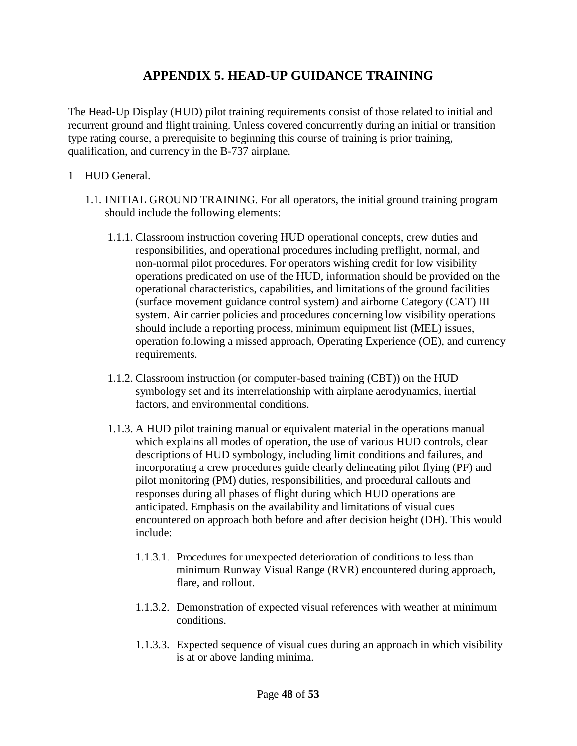## **APPENDIX 5. HEAD-UP GUIDANCE TRAINING**

<span id="page-47-0"></span>The Head-Up Display (HUD) pilot training requirements consist of those related to initial and recurrent ground and flight training. Unless covered concurrently during an initial or transition type rating course, a prerequisite to beginning this course of training is prior training, qualification, and currency in the B-737 airplane.

- 1 HUD General.
	- 1.1. INITIAL GROUND TRAINING. For all operators, the initial ground training program should include the following elements:
		- 1.1.1. Classroom instruction covering HUD operational concepts, crew duties and responsibilities, and operational procedures including preflight, normal, and non-normal pilot procedures. For operators wishing credit for low visibility operations predicated on use of the HUD, information should be provided on the operational characteristics, capabilities, and limitations of the ground facilities (surface movement guidance control system) and airborne Category (CAT) III system. Air carrier policies and procedures concerning low visibility operations should include a reporting process, minimum equipment list (MEL) issues, operation following a missed approach, Operating Experience (OE), and currency requirements.
		- 1.1.2. Classroom instruction (or computer-based training (CBT)) on the HUD symbology set and its interrelationship with airplane aerodynamics, inertial factors, and environmental conditions.
		- 1.1.3. A HUD pilot training manual or equivalent material in the operations manual which explains all modes of operation, the use of various HUD controls, clear descriptions of HUD symbology, including limit conditions and failures, and incorporating a crew procedures guide clearly delineating pilot flying (PF) and pilot monitoring (PM) duties, responsibilities, and procedural callouts and responses during all phases of flight during which HUD operations are anticipated. Emphasis on the availability and limitations of visual cues encountered on approach both before and after decision height (DH). This would include:
			- 1.1.3.1. Procedures for unexpected deterioration of conditions to less than minimum Runway Visual Range (RVR) encountered during approach, flare, and rollout.
			- 1.1.3.2. Demonstration of expected visual references with weather at minimum conditions.
			- 1.1.3.3. Expected sequence of visual cues during an approach in which visibility is at or above landing minima.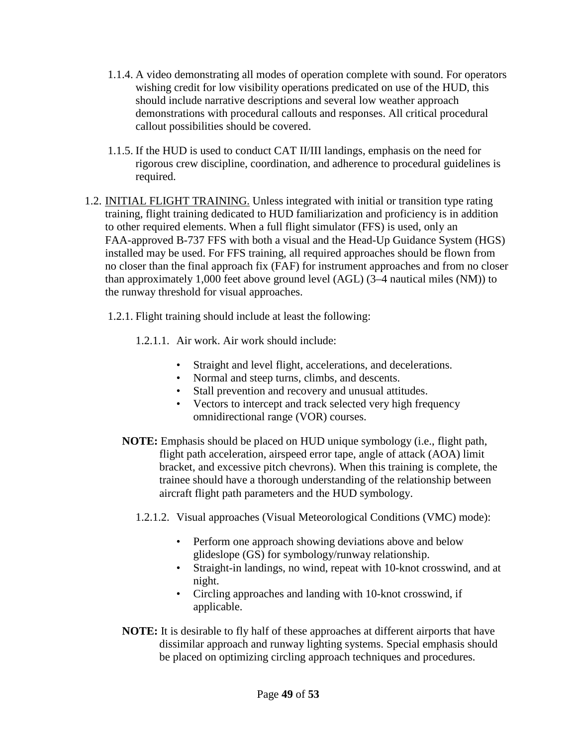- 1.1.4. A video demonstrating all modes of operation complete with sound. For operators wishing credit for low visibility operations predicated on use of the HUD, this should include narrative descriptions and several low weather approach demonstrations with procedural callouts and responses. All critical procedural callout possibilities should be covered.
- 1.1.5. If the HUD is used to conduct CAT II/III landings, emphasis on the need for rigorous crew discipline, coordination, and adherence to procedural guidelines is required.
- 1.2. INITIAL FLIGHT TRAINING. Unless integrated with initial or transition type rating training, flight training dedicated to HUD familiarization and proficiency is in addition to other required elements. When a full flight simulator (FFS) is used, only an FAA-approved B-737 FFS with both a visual and the Head-Up Guidance System (HGS) installed may be used. For FFS training, all required approaches should be flown from no closer than the final approach fix (FAF) for instrument approaches and from no closer than approximately 1,000 feet above ground level (AGL) (3–4 nautical miles (NM)) to the runway threshold for visual approaches.
	- 1.2.1. Flight training should include at least the following:
		- 1.2.1.1. Air work. Air work should include:
			- Straight and level flight, accelerations, and decelerations.
			- Normal and steep turns, climbs, and descents.
			- Stall prevention and recovery and unusual attitudes.
			- Vectors to intercept and track selected very high frequency omnidirectional range (VOR) courses.
		- **NOTE:** Emphasis should be placed on HUD unique symbology (i.e., flight path, flight path acceleration, airspeed error tape, angle of attack (AOA) limit bracket, and excessive pitch chevrons). When this training is complete, the trainee should have a thorough understanding of the relationship between aircraft flight path parameters and the HUD symbology.
			- 1.2.1.2. Visual approaches (Visual Meteorological Conditions (VMC) mode):
				- Perform one approach showing deviations above and below glideslope (GS) for symbology/runway relationship.
				- Straight-in landings, no wind, repeat with 10-knot crosswind, and at night.
				- Circling approaches and landing with 10-knot crosswind, if applicable.
		- **NOTE:** It is desirable to fly half of these approaches at different airports that have dissimilar approach and runway lighting systems. Special emphasis should be placed on optimizing circling approach techniques and procedures.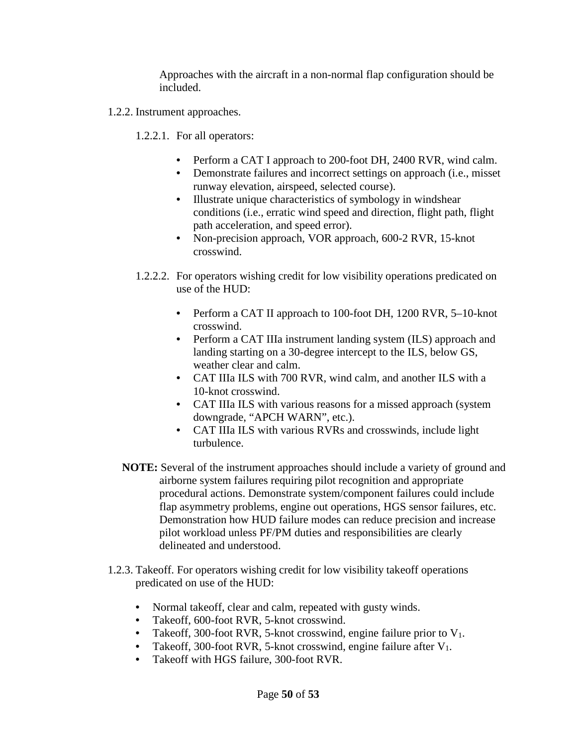Approaches with the aircraft in a non-normal flap configuration should be included.

- 1.2.2. Instrument approaches.
	- 1.2.2.1. For all operators:
		- Perform a CAT I approach to 200-foot DH, 2400 RVR, wind calm.
		- Demonstrate failures and incorrect settings on approach (i.e., misset runway elevation, airspeed, selected course).
		- Illustrate unique characteristics of symbology in windshear conditions (i.e., erratic wind speed and direction, flight path, flight path acceleration, and speed error).
		- Non-precision approach, VOR approach, 600-2 RVR, 15-knot crosswind.
	- 1.2.2.2. For operators wishing credit for low visibility operations predicated on use of the HUD:
		- Perform a CAT II approach to 100-foot DH, 1200 RVR, 5–10-knot crosswind.
		- Perform a CAT IIIa instrument landing system (ILS) approach and landing starting on a 30-degree intercept to the ILS, below GS, weather clear and calm.
		- CAT IIIa ILS with 700 RVR, wind calm, and another ILS with a 10-knot crosswind.
		- CAT IIIa ILS with various reasons for a missed approach (system downgrade, "APCH WARN", etc.).
		- CAT IIIa ILS with various RVRs and crosswinds, include light turbulence.
	- **NOTE:** Several of the instrument approaches should include a variety of ground and airborne system failures requiring pilot recognition and appropriate procedural actions. Demonstrate system/component failures could include flap asymmetry problems, engine out operations, HGS sensor failures, etc. Demonstration how HUD failure modes can reduce precision and increase pilot workload unless PF/PM duties and responsibilities are clearly delineated and understood.
- 1.2.3. Takeoff. For operators wishing credit for low visibility takeoff operations predicated on use of the HUD:
	- Normal takeoff, clear and calm, repeated with gusty winds.
	- Takeoff, 600-foot RVR, 5-knot crosswind.<br>• Takeoff. 300-foot RVR. 5-knot crosswind.
	- Takeoff, 300-foot RVR, 5-knot crosswind, engine failure prior to  $V_1$ .
	- Takeoff, 300-foot RVR, 5-knot crosswind, engine failure after  $V_1$ .
	- Takeoff with HGS failure, 300-foot RVR.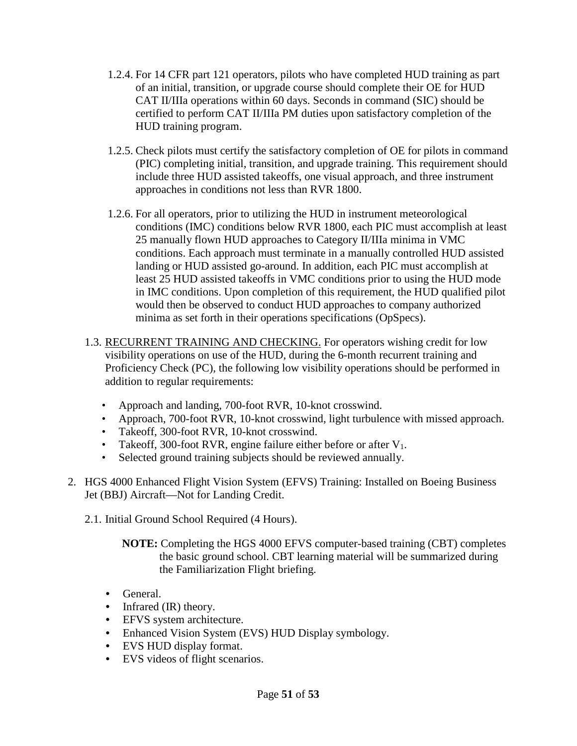- 1.2.4. For 14 CFR part 121 operators, pilots who have completed HUD training as part of an initial, transition, or upgrade course should complete their OE for HUD CAT II/IIIa operations within 60 days. Seconds in command (SIC) should be certified to perform CAT II/IIIa PM duties upon satisfactory completion of the HUD training program.
- 1.2.5. Check pilots must certify the satisfactory completion of OE for pilots in command (PIC) completing initial, transition, and upgrade training. This requirement should include three HUD assisted takeoffs, one visual approach, and three instrument approaches in conditions not less than RVR 1800.
- 1.2.6. For all operators, prior to utilizing the HUD in instrument meteorological conditions (IMC) conditions below RVR 1800, each PIC must accomplish at least 25 manually flown HUD approaches to Category II/IIIa minima in VMC conditions. Each approach must terminate in a manually controlled HUD assisted landing or HUD assisted go-around. In addition, each PIC must accomplish at least 25 HUD assisted takeoffs in VMC conditions prior to using the HUD mode in IMC conditions. Upon completion of this requirement, the HUD qualified pilot would then be observed to conduct HUD approaches to company authorized minima as set forth in their operations specifications (OpSpecs).
- 1.3. RECURRENT TRAINING AND CHECKING. For operators wishing credit for low visibility operations on use of the HUD, during the 6-month recurrent training and Proficiency Check (PC), the following low visibility operations should be performed in addition to regular requirements:
	- Approach and landing, 700-foot RVR, 10-knot crosswind.
	- Approach, 700-foot RVR, 10-knot crosswind, light turbulence with missed approach.
	- Takeoff, 300-foot RVR, 10-knot crosswind.
	- Takeoff, 300-foot RVR, engine failure either before or after  $V_1$ .
	- Selected ground training subjects should be reviewed annually.
- 2. HGS 4000 Enhanced Flight Vision System (EFVS) Training: Installed on Boeing Business Jet (BBJ) Aircraft—Not for Landing Credit.
	- 2.1. Initial Ground School Required (4 Hours).
		- **NOTE:** Completing the HGS 4000 EFVS computer-based training (CBT) completes the basic ground school. CBT learning material will be summarized during the Familiarization Flight briefing.
		- General.
		- Infrared (IR) theory.
		- EFVS system architecture.
		- Enhanced Vision System (EVS) HUD Display symbology.
		- EVS HUD display format.
		- EVS videos of flight scenarios.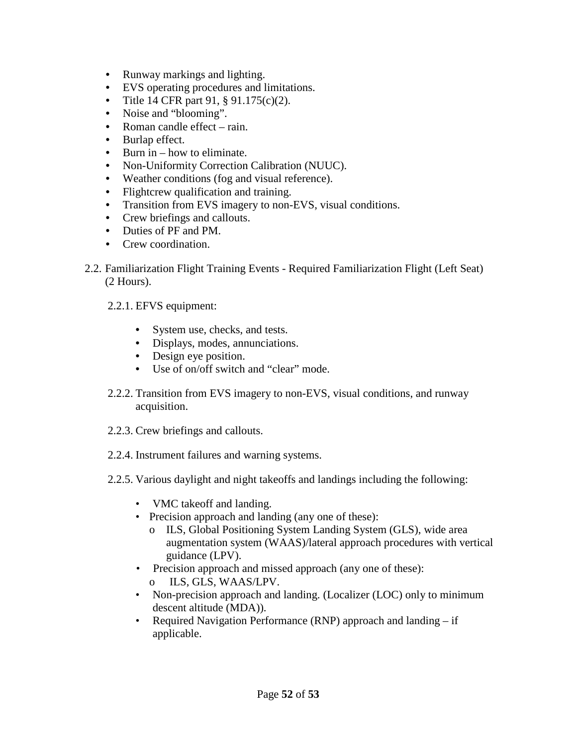- Runway markings and lighting.
- EVS operating procedures and limitations.
- Title 14 CFR part 91, § 91.175(c)(2).
- Noise and "blooming".
- Roman candle effect rain.
- Burlap effect.
- Burn in how to eliminate.
- Non-Uniformity Correction Calibration (NUUC).
- Weather conditions (fog and visual reference).
- Flightcrew qualification and training.
- Transition from EVS imagery to non-EVS, visual conditions.
- Crew briefings and callouts.
- Duties of PF and PM.
- Crew coordination.
- 2.2. Familiarization Flight Training Events Required Familiarization Flight (Left Seat) (2 Hours).
	- 2.2.1. EFVS equipment:
		- System use, checks, and tests.
		- Displays, modes, annunciations.
		- Design eye position.
		- Use of on/off switch and "clear" mode.
	- 2.2.2. Transition from EVS imagery to non-EVS, visual conditions, and runway acquisition.
	- 2.2.3. Crew briefings and callouts.
	- 2.2.4. Instrument failures and warning systems.
	- 2.2.5. Various daylight and night takeoffs and landings including the following:
		- VMC takeoff and landing.
		- Precision approach and landing (any one of these):
			- o ILS, Global Positioning System Landing System (GLS), wide area augmentation system (WAAS)/lateral approach procedures with vertical guidance (LPV).
		- Precision approach and missed approach (any one of these):
			- o ILS, GLS, WAAS/LPV.
		- Non-precision approach and landing. (Localizer (LOC) only to minimum descent altitude (MDA)).
		- Required Navigation Performance (RNP) approach and landing if applicable.